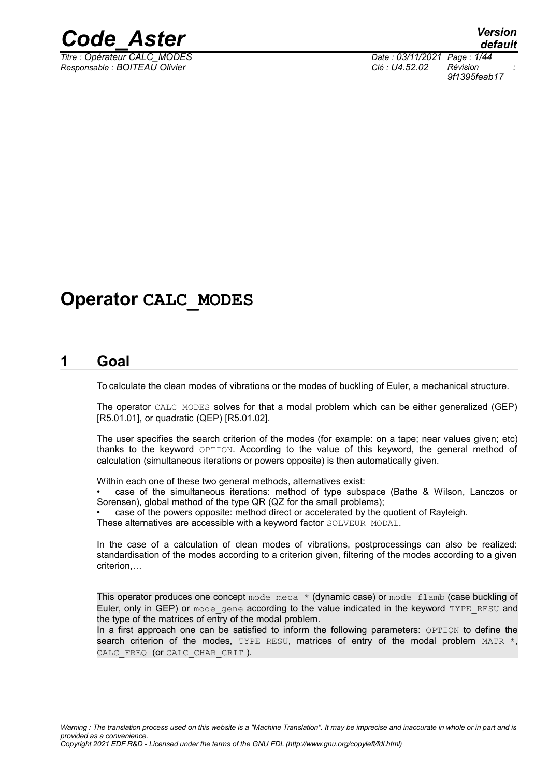

*Responsable : BOITEAU Olivier Clé : U4.52.02 Révision :*

*default Titre : Opérateur CALC\_MODES Date : 03/11/2021 Page : 1/44 9f1395feab17*

## **Operator CALC\_MODES**

### **1 Goal**

<span id="page-0-0"></span>To calculate the clean modes of vibrations or the modes of buckling of Euler, a mechanical structure.

The operator CALC\_MODES solves for that a modal problem which can be either generalized (GEP) [R5.01.01], or quadratic (QEP) [R5.01.02].

The user specifies the search criterion of the modes (for example: on a tape; near values given; etc) thanks to the keyword OPTION. According to the value of this keyword, the general method of calculation (simultaneous iterations or powers opposite) is then automatically given.

Within each one of these two general methods, alternatives exist:

• case of the simultaneous iterations: method of type subspace (Bathe & Wilson, Lanczos or Sorensen), global method of the type QR (QZ for the small problems);

• case of the powers opposite: method direct or accelerated by the quotient of Rayleigh.

These alternatives are accessible with a keyword factor SOLVEUR\_MODAL.

In the case of a calculation of clean modes of vibrations, postprocessings can also be realized: standardisation of the modes according to a criterion given, filtering of the modes according to a given criterion,…

This operator produces one concept mode meca  $*$  (dynamic case) or mode  $flamb$  (case buckling of Euler, only in GEP) or mode gene according to the value indicated in the keyword TYPE\_RESU and the type of the matrices of entry of the modal problem.

In a first approach one can be satisfied to inform the following parameters: OPTION to define the search criterion of the modes, TYPE RESU, matrices of entry of the modal problem MATR  $*$ , CALC\_FREQ (Or CALC\_CHAR\_CRIT ).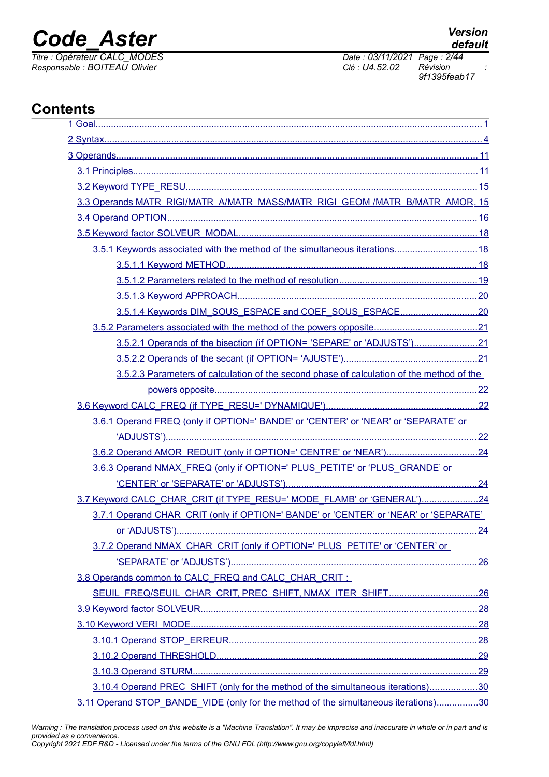*Titre : Opérateur CALC\_MODES Date : 03/11/2021 Page : 2/44 Responsable : BOITEAU Olivier Clé : U4.52.02 Révision :*

*9f1395feab17*

## **Contents**

| 3.3 Operands MATR_RIGI/MATR_A/MATR_MASS/MATR_RIGI_GEOM /MATR_B/MATR_AMOR. 15              |  |
|-------------------------------------------------------------------------------------------|--|
|                                                                                           |  |
|                                                                                           |  |
| 3.5.1 Keywords associated with the method of the simultaneous iterations18                |  |
|                                                                                           |  |
|                                                                                           |  |
|                                                                                           |  |
|                                                                                           |  |
|                                                                                           |  |
| 3.5.2.1 Operands of the bisection (if OPTION= 'SEPARE' or 'ADJUSTS')21                    |  |
|                                                                                           |  |
| 3.5.2.3 Parameters of calculation of the second phase of calculation of the method of the |  |
|                                                                                           |  |
|                                                                                           |  |
| 3.6.1 Operand FREQ (only if OPTION=' BANDE' or 'CENTER' or 'NEAR' or 'SEPARATE' or        |  |
|                                                                                           |  |
|                                                                                           |  |
| 3.6.3 Operand NMAX_FREQ (only if OPTION=' PLUS_PETITE' or 'PLUS_GRANDE' or                |  |
|                                                                                           |  |
| 3.7 Keyword CALC_CHAR_CRIT (if TYPE_RESU=' MODE_FLAMB' or 'GENERAL')24                    |  |
| 3.7.1 Operand CHAR CRIT (only if OPTION=' BANDE' or 'CENTER' or 'NEAR' or 'SEPARATE'      |  |
|                                                                                           |  |
| 3.7.2 Operand NMAX_CHAR_CRIT (only if OPTION=' PLUS_PETITE' or 'CENTER' or                |  |
|                                                                                           |  |
| 3.8 Operands common to CALC_FREQ and CALC_CHAR_CRIT:                                      |  |
| SEUIL FREQ/SEUIL CHAR CRIT, PREC SHIFT, NMAX ITER SHIFT26                                 |  |
|                                                                                           |  |
|                                                                                           |  |
|                                                                                           |  |
|                                                                                           |  |
|                                                                                           |  |
| 3.10.4 Operand PREC_SHIFT (only for the method of the simultaneous iterations)30          |  |
| 3.11 Operand STOP_BANDE_VIDE (only for the method of the simultaneous iterations)30       |  |

*Warning : The translation process used on this website is a "Machine Translation". It may be imprecise and inaccurate in whole or in part and is provided as a convenience. Copyright 2021 EDF R&D - Licensed under the terms of the GNU FDL (http://www.gnu.org/copyleft/fdl.html)*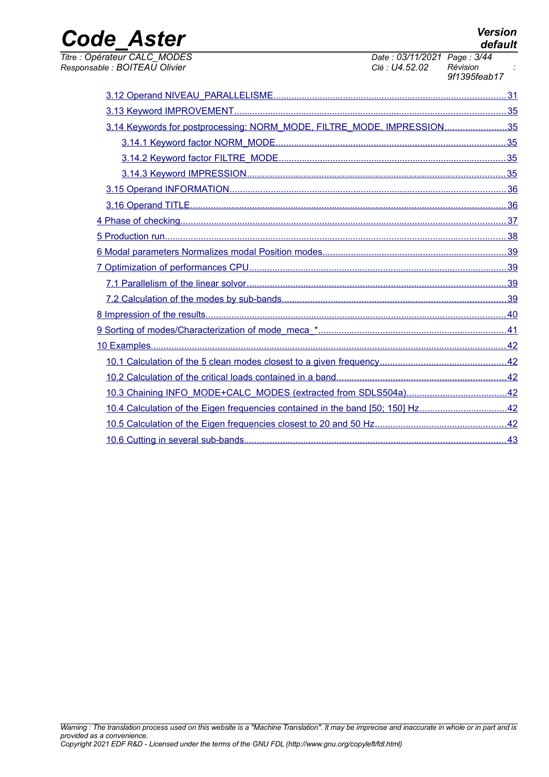*Titre : Opérateur CALC\_MODES Date : 03/11/2021 Page : 3/44*

*Responsable : BOITEAU Olivier Clé : U4.52.02 Révision : 9f1395feab17*

| 3.14 Keywords for postprocessing: NORM_MODE, FILTRE_MODE, IMPRESSION35         |  |
|--------------------------------------------------------------------------------|--|
|                                                                                |  |
|                                                                                |  |
|                                                                                |  |
|                                                                                |  |
|                                                                                |  |
|                                                                                |  |
|                                                                                |  |
|                                                                                |  |
|                                                                                |  |
|                                                                                |  |
|                                                                                |  |
|                                                                                |  |
|                                                                                |  |
|                                                                                |  |
|                                                                                |  |
|                                                                                |  |
|                                                                                |  |
| 10.4 Calculation of the Eigen frequencies contained in the band [50; 150] Hz42 |  |
|                                                                                |  |
|                                                                                |  |
|                                                                                |  |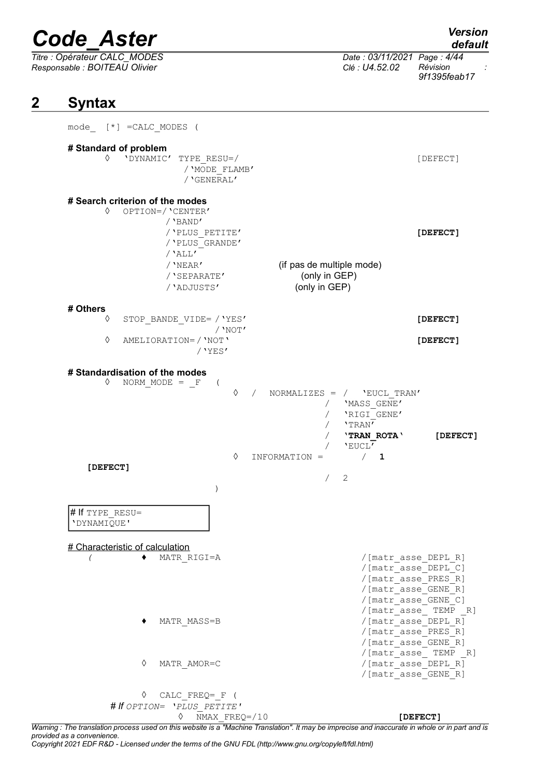*Titre : Opérateur CALC\_MODES Date : 03/11/2021 Page : 4/44*

*Responsable : BOITEAU Olivier Clé : U4.52.02 Révision : 9f1395feab17*

## **2 Syntax**

<span id="page-3-0"></span>

| mode_ [*] =CALC_MODES (                                           |                                                                                                                              |           |               |            |                                                                                                                      |                                                                                                                                                                       |
|-------------------------------------------------------------------|------------------------------------------------------------------------------------------------------------------------------|-----------|---------------|------------|----------------------------------------------------------------------------------------------------------------------|-----------------------------------------------------------------------------------------------------------------------------------------------------------------------|
| # Standard of problem<br>♦                                        | 'DYNAMIC' TYPE RESU=/<br>/ 'MODE FLAMB'                                                                                      |           |               |            |                                                                                                                      | [DEFECT]                                                                                                                                                              |
| # Search criterion of the modes<br>♦                              | / 'GENERAL'<br>OPTION=/'CENTER'<br>/ 'BAND'<br>/ 'PLUS PETITE'<br>/ 'PLUS GRANDE'<br>$/$ 'ALL'<br>$/$ 'NEAR'<br>/ 'SEPARATE' |           | (only in GEP) |            | (if pas de multiple mode)                                                                                            | [DEFECT]                                                                                                                                                              |
|                                                                   | /'ADJUSTS'                                                                                                                   |           | (only in GEP) |            |                                                                                                                      |                                                                                                                                                                       |
| # Others<br>♦<br>♦                                                | STOP BANDE VIDE= / 'YES'<br>AMELIORATION=/ 'NOT'<br>$/$ 'YES'                                                                | $/$ 'NOT' |               |            |                                                                                                                      | [DEFECT]<br>[DEFECT]                                                                                                                                                  |
| # Standardisation of the modes<br>♦<br>[DEFECT]                   | NORM MODE $=$ $\mathbf{F}$<br>$\sqrt{2}$<br>$\lambda$                                                                        | ♦<br>♦    | INFORMATION = | $\sqrt{2}$ | NORMALIZES = $/$ 'EUCL TRAN'<br>'MASS GENE'<br>/ 'RIGI_GENE'<br>/ 'TRAN'<br>'TRAN ROTA'<br>'EUCL'<br>$\sqrt{1}$<br>2 | [DEFECT]                                                                                                                                                              |
| # If TYPE RESU=<br>'DYNAMIQUE'<br># Characteristic of calculation | MATR RIGI=A                                                                                                                  |           |               |            |                                                                                                                      | /[matr asse DEPL R]<br>/[matr asse DEPL C]<br>/[matr asse PRES R]<br>/[matr asse GENE R]<br>/[matr asse GENE C]                                                       |
| ♦                                                                 | MATR MASS=B<br>MATR AMOR=C                                                                                                   |           |               |            |                                                                                                                      | /[matr asse TEMP R]<br>/[matr asse_DEPL_R]<br>/[matr asse PRES R]<br>/[matr asse_GENE_R]<br>$/$ [matr_asse_ TEMP $_R$ ]<br>/[matr asse DEPL R]<br>/[matr asse GENE R] |
| ♦                                                                 | CALC FREQ= F (                                                                                                               |           |               |            |                                                                                                                      |                                                                                                                                                                       |
|                                                                   | # If OPTION= 'PLUS PETITE'<br>NMAX FREQ=/10<br>♦                                                                             |           |               |            |                                                                                                                      | [DEFECT]                                                                                                                                                              |

*Warning : The translation process used on this website is a "Machine Translation". It may be imprecise and inaccurate in whole or in part and is provided as a convenience.*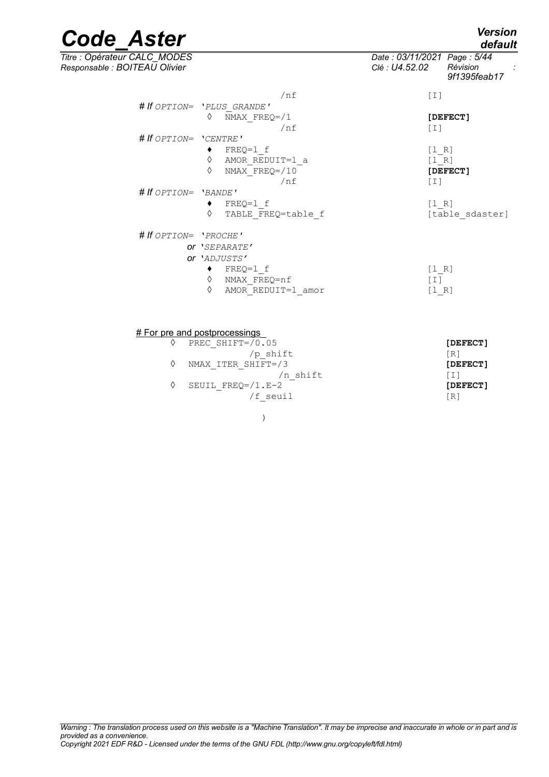*default*

# *Code\_Aster Version*

*Titre : Opérateur CALC\_MODES Date : 03/11/2021 Page : 5/44 Responsable : BOITEAU Olivier Clé : U4.52.02 Révision :*

*9f1395feab17*

| /nf                           | $[1]$             |
|-------------------------------|-------------------|
| # If OPTION= 'PLUS GRANDE'    |                   |
| ♦<br>NMAX $FREQ = / 1$        | [DEFECT]          |
| /nf                           | $\lceil 1 \rceil$ |
| # If $OPTION = 'CENTRE'$      |                   |
| $FREQ=1 f$                    | [1 R]             |
| ♦<br>AMOR REDUIT=1 a          | [1 R]             |
| $NMAX$ FREQ=/10<br>$\Diamond$ | [DEFECT]          |
| /nf                           | $[1]$             |
| # If OPTION= 'BANDE'          |                   |
| FREQ=1 f                      | [1 R]             |
| ♦<br>TABLE FREQ=table f       | [table sdaster]   |
| # If OPTION= 'PROCHE'         |                   |
| OF 'SEPARATE'                 |                   |
| or 'ADJUSTS'                  |                   |
| FREQ=1 f                      | [1 R]             |
| ♦<br>NMAX FREQ=nf             | [I]               |
| ♦<br>AMOR REDUIT=1 amor       | [1 R]             |
|                               |                   |

#### **# For pre and postprocessings**

| PREC SHIFT= $/0.05$   | [DEFECT]   |
|-----------------------|------------|
| /p shift              | $\sqrt{R}$ |
| NMAX ITER SHIFT=/3    | [DEFECT]   |
| n shift               | L L J      |
| SEUIL FREO= $/1$ .E-2 | [DEFECT]   |
| /f seuil              | [R]        |

)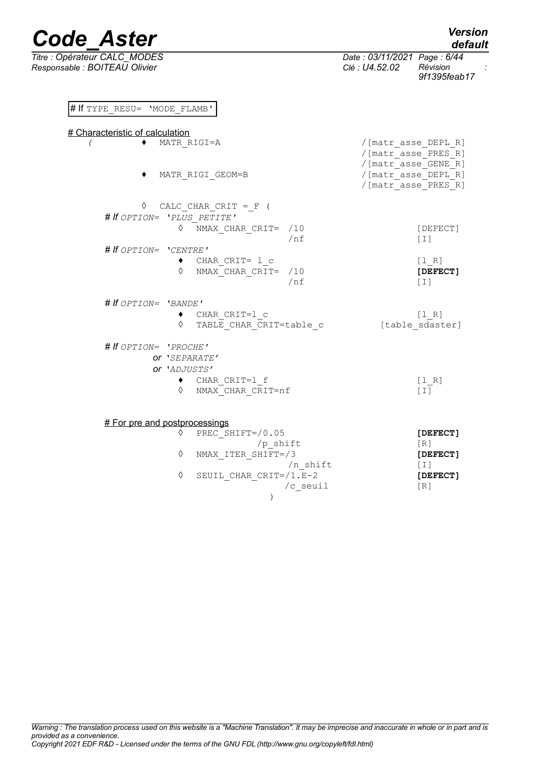# If TYPE\_RESU= 'MODE\_FLAMB'

|                               |                             | .                        |  |
|-------------------------------|-----------------------------|--------------------------|--|
| Titre : Opérateur CALC MODES  | Date: 03/11/2021 Page: 6/44 |                          |  |
| Responsable : BOITEAU Olivier | Clé : U4.52.02              | Révision<br>9f1395feab17 |  |

 $/n\_shift$  [I]<br> $= /1.E-2$  [DEFECT]

/c seuil [R]

| # Characteristic of calculation  |                 |                                                                   |
|----------------------------------|-----------------|-------------------------------------------------------------------|
| MATR RIGI=A                      |                 | /[matr asse DEPL R]<br>/[matr asse PRES R]<br>/[matr asse GENE R] |
| MATR RIGI GEOM=B                 |                 | /[matr asse DEPL R]<br>/[matr asse PRES R]                        |
| $\Diamond$ CALC CHAR CRIT = F (  |                 |                                                                   |
| # If OPTION= 'PLUS PETITE'       |                 |                                                                   |
| ♦<br>NMAX CHAR CRIT= /10         | $/$ nf          | [DEFECT]<br>$[1]$                                                 |
| # If OPTION= 'CENTRE'            |                 |                                                                   |
| $\bullet$ CHAR CRIT= 1 c         |                 | [1 R]                                                             |
| $\Diamond$ NMAX CHAR CRIT= $/10$ | /nf             | [DEFECT]<br>$\lceil 1 \rceil$                                     |
| # If OPTION= 'BANDE'             |                 |                                                                   |
| $\bullet$ CHAR CRIT=1 c          |                 | [1 R]                                                             |
| ♦<br>TABLE_CHAR_CRIT=table_c     | [table sdaster] |                                                                   |
| # If OPTION= 'PROCHE'            |                 |                                                                   |
| Or 'SEPARATE'                    |                 |                                                                   |
| or 'ADJUSTS'                     |                 |                                                                   |
| $\bullet$ CHAR CRIT=1 f          |                 | [1 R]                                                             |
| ♦ NMAX CHAR CRIT=nf              |                 | $\lceil 1 \rceil$                                                 |
| # For pre and postprocessings    |                 |                                                                   |
| PREC SHIFT=/0.05<br>♦            |                 | [DEFECT]                                                          |
| /p shift                         |                 | [R]                                                               |
| NMAX ITER SHIFT=/3<br>♦          |                 | [DEFECT]                                                          |

 $\Diamond$  SEUIL\_CHAR\_CRIT=/1.E-2

)

*default*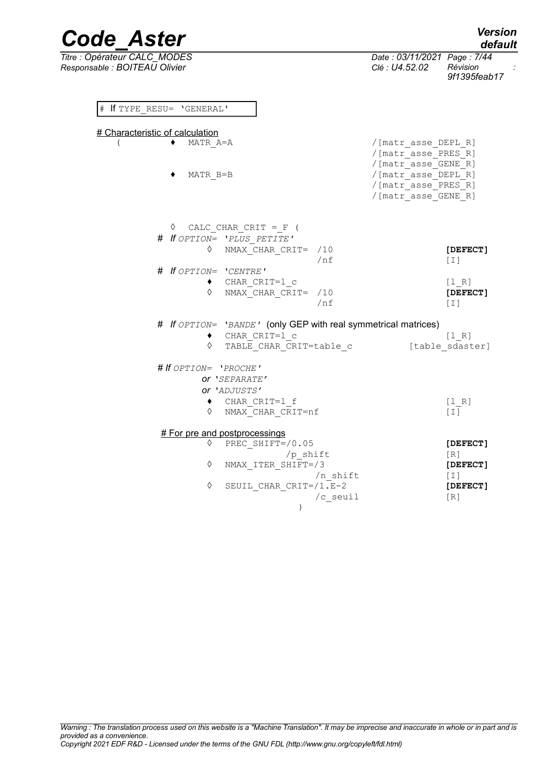| <b>Code Aster</b>                                              |                                                                    | <b>Version</b><br>default |
|----------------------------------------------------------------|--------------------------------------------------------------------|---------------------------|
| Titre : Opérateur CALC MODES<br>Responsable : BOITEAU Olivier  | Date: 03/11/2021 Page: 7/44<br>Clé : U4.52.02                      | Révision<br>9f1395feab17  |
| If TYPE RESU= 'GENERAL'<br>$_{\rm \#}$                         |                                                                    |                           |
| # Characteristic of calculation                                |                                                                    |                           |
| MATR A=A                                                       | / [matr asse DEPL R]<br>/[matr asse PRES R]<br>/[matr asse GENE R] |                           |
| MATR B=B                                                       | / [matr asse DEPL R]<br>/[matr asse PRES R]<br>/[matr_asse_GENE_R] |                           |
| ♦<br>CALC CHAR CRIT = $F$ (                                    |                                                                    |                           |
| # If OPTION= 'PLUS PETITE'                                     |                                                                    |                           |
| NMAX CHAR CRIT=<br>♦<br>/10<br>/nf                             |                                                                    | [DEFECT]<br>[T]           |
| # If OPTION= 'CENTRE'                                          |                                                                    |                           |
| CHAR CRIT=1 c<br>٠                                             |                                                                    | [1 R]                     |
| ♦<br>NMAX CHAR CRIT=<br>/10<br>/nf                             |                                                                    | [DEFECT]<br>$[1]$         |
| # If OPTION= 'BANDE' (only GEP with real symmetrical matrices) |                                                                    |                           |
| CHAR CRIT=1 c<br>٠                                             |                                                                    | [1 R]                     |
| TABLE CHAR CRIT=table c<br>♦                                   |                                                                    | [table sdaster]           |
| # If OPTION= 'PROCHE'                                          |                                                                    |                           |
| Or 'SEPARATE'                                                  |                                                                    |                           |
| Or 'ADJUSTS'                                                   |                                                                    |                           |
| CHAR CRIT=1 f<br>٠<br>♦<br>NMAX CHAR_CRIT=nf                   |                                                                    | [1 R]<br>[T]              |
| # For pre and postprocessings                                  |                                                                    |                           |
| ♦<br>PREC SHIFT=/0.05                                          |                                                                    | [DEFECT]                  |
| $/p_{shift}$<br>♦<br>NMAX ITER SHIFT=/3                        |                                                                    | [R]<br>[DEFECT]           |
| /n shift                                                       |                                                                    | $[1]$                     |
| $\Diamond$<br>SEUIL CHAR CRIT=/1.E-2                           |                                                                    | [DEFECT]                  |
| /c seuil                                                       |                                                                    | [R]                       |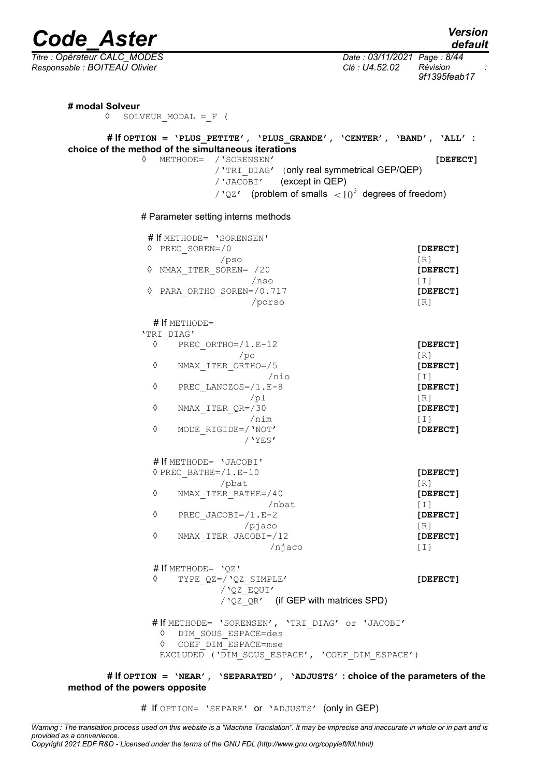*Titre : Opérateur CALC\_MODES Date : 03/11/2021 Page : 8/44 Responsable : BOITEAU Olivier Clé : U4.52.02 Révision : 9f1395feab17*

| choice of the method of the simultaneous iterations                                                      | # If OPTION = 'PLUS PETITE', 'PLUS GRANDE', 'CENTER', 'BAND', 'ALL' : |
|----------------------------------------------------------------------------------------------------------|-----------------------------------------------------------------------|
| ♦<br>METHODE= / 'SORENSEN'<br>/ 'TRI DIAG' (only real symmetrical GEP/QEP)<br>/ 'JACOBI' (except in QEP) | [DEFECT]                                                              |
| / ' $QZ'$ (problem of smalls $\langle 10^3 \rangle$ degrees of freedom)                                  |                                                                       |
| # Parameter setting interns methods                                                                      |                                                                       |
| # If METHODE= 'SORENSEN'                                                                                 |                                                                       |
| $\Diamond$ PREC SOREN=/0                                                                                 | [DEFECT]                                                              |
| $/$ pso                                                                                                  | $\lceil R \rceil$                                                     |
| NMAX ITER SOREN= /20<br>♦                                                                                | [DEFECT]                                                              |
| /nso                                                                                                     | $[1]$                                                                 |
| ♦<br>PARA ORTHO SOREN=/0.717                                                                             | [DEFECT]                                                              |
| /porso                                                                                                   | $\lceil R \rceil$                                                     |
| # If METHODE=                                                                                            |                                                                       |
| 'TRI DIAG'                                                                                               |                                                                       |
| ♦<br>PREC ORTHO=/1.E-12                                                                                  | [DEFECT]                                                              |
| /po                                                                                                      | [R]                                                                   |
| ♦<br>NMAX ITER ORTHO=/5                                                                                  | [DEFECT]                                                              |
| $/$ nio<br>♦                                                                                             | $[1]$                                                                 |
| PREC LANCZOS=/1.E-8<br>/pl                                                                               | [DEFECT]                                                              |
| ♦<br>NMAX ITER QR=/30                                                                                    | [R]<br>[DEFECT]                                                       |
| /nim                                                                                                     | $[1]$                                                                 |
| ♦<br>MODE RIGIDE=/ 'NOT'                                                                                 | [DEFECT]                                                              |
| $/$ 'YES'                                                                                                |                                                                       |
| # If METHODE= 'JACOBI'                                                                                   |                                                                       |
| $\Diamond$ PREC BATHE= $/1$ .E-10                                                                        | [DEFECT]                                                              |
| /pbat                                                                                                    | $[R]1$                                                                |
| ♦<br>NMAX ITER BATHE=/40                                                                                 | [DEFECT]                                                              |
| /nbat                                                                                                    | $\lceil 1 \rceil$                                                     |
| ♦<br>PREC JACOBI= $/1.E-2$                                                                               | [DEFECT]                                                              |
| /pi                                                                                                      | [R]                                                                   |
| ♦<br>NMAX ITER JACOBI=/12<br>/njaco                                                                      | [DEFECT]<br>$\lfloor 1 \rfloor$                                       |
|                                                                                                          |                                                                       |
| # If METHODE= 'OZ'                                                                                       |                                                                       |
| ♦<br>TYPE $QZ = / QZ$ SIMPLE'                                                                            | [DEFECT]                                                              |
| / 'QZ EQUI'<br>/ 'QZ QR' (if GEP with matrices SPD)                                                      |                                                                       |
|                                                                                                          |                                                                       |
| # If METHODE= 'SORENSEN', 'TRI DIAG' or 'JACOBI'                                                         |                                                                       |
| DIM SOUS ESPACE=des<br>♦<br>COEF DIM ESPACE=mse<br>♦                                                     |                                                                       |
| EXCLUDED ('DIM SOUS ESPACE', 'COEF_DIM_ESPACE')                                                          |                                                                       |

**# If OPTION = 'NEAR', 'SEPARATED', 'ADJUSTS' : choice of the parameters of the method of the powers opposite**

# If OPTION= 'SEPARE' or 'ADJUSTS' (only in GEP)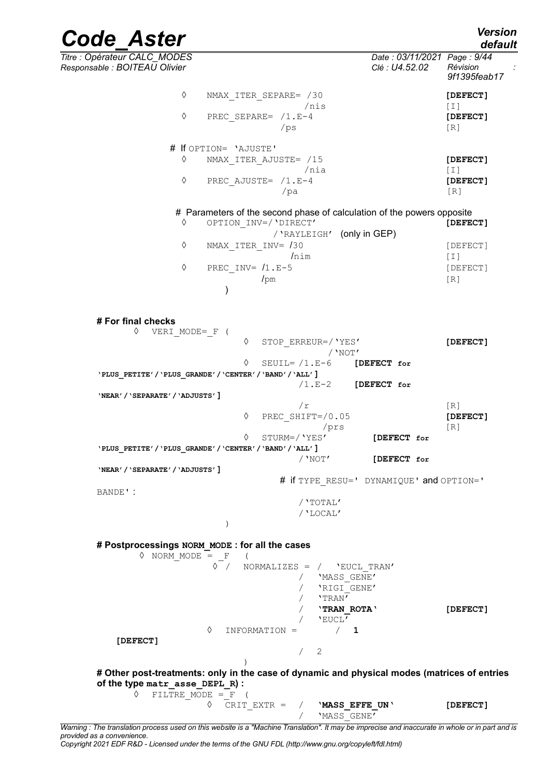*default*

*Code\_Aster Version*

*Titre : Opérateur CALC\_MODES Date : 03/11/2021 Page : 9/44 Responsable : BOITEAU Olivier Clé : U4.52.02 Révision : 9f1395feab17* ◊ NMAX\_ITER\_SEPARE= /30 **[DEFECT]** /nis [I] ◊ PREC\_SEPARE= /1.E-4 **[DEFECT]**  $/ps$  [R] # If OPTION= 'AJUSTE' ◊ NMAX\_ITER\_AJUSTE= /15 **[DEFECT]**  $/nia$  [I] ◊ PREC\_AJUSTE= /1.E-4 **[DEFECT]** /pa [R] # Parameters of the second phase of calculation of the powers opposite ◊ OPTION\_INV=/'DIRECT' **[DEFECT]** /'RAYLEIGH' (only in GEP) ◊ NMAX\_ITER\_INV= /30 [DEFECT]  $\ln \ln$  [I] ◊ PREC\_INV= /1.E-5 [DEFECT]  $\sqrt{P}$ m [R] ) **# For final checks** ◊ VERI\_MODE=\_F ( ◊ STOP\_ERREUR=/'YES' **[DEFECT]** /'NOT' ◊ SEUIL= /1.E-6 **[DEFECT for 'PLUS\_PETITE'/'PLUS\_GRANDE'/'CENTER'/'BAND'/'ALL']** /1.E-2 **[DEFECT for 'NEAR'/'SEPARATE'/'ADJUSTS']**  $/r$  [R] ◊ PREC\_SHIFT=/0.05 **[DEFECT]**  /prs [R] ◊ STURM=/'YES' **[DEFECT for 'PLUS\_PETITE'/'PLUS\_GRANDE'/'CENTER'/'BAND'/'ALL']** /'NOT' **[DEFECT for 'NEAR'/'SEPARATE'/'ADJUSTS']** # if TYPE\_RESU=' DYNAMIQUE' and OPTION=' BANDE' : /'TOTAL' /'LOCAL' ) **# Postprocessings NORM\_MODE : for all the cases**  $\Diamond$  NORM MODE = F ( ◊ / NORMALIZES = / 'EUCL\_TRAN' / 'MASS\_GENE' / 'RIGI\_GENE' / 'TRAN' / '**TRAN\_ROTA**' **[DEFECT]**  $\begin{array}{cc} \sqrt{\phantom{00}2\phantom{0}} & \sqrt{\phantom{0}2\phantom{0}} \ \sqrt{\phantom{0}} & \sqrt{\phantom{0}} \ \end{array}$ ◊ INFORMATION = / **1 [DEFECT]** / 2 ) **# Other post-treatments: only in the case of dynamic and physical modes (matrices of entries of the type matr\_asse\_DEPL\_R) :**  $\Diamond$  FILTRE MODE = F ( ◊ CRIT\_EXTR = / '**MASS\_EFFE\_UN**' **[DEFECT]**

/ 'MASS\_GENE' *Warning : The translation process used on this website is a "Machine Translation". It may be imprecise and inaccurate in whole or in part and is*

*provided as a convenience. Copyright 2021 EDF R&D - Licensed under the terms of the GNU FDL (http://www.gnu.org/copyleft/fdl.html)*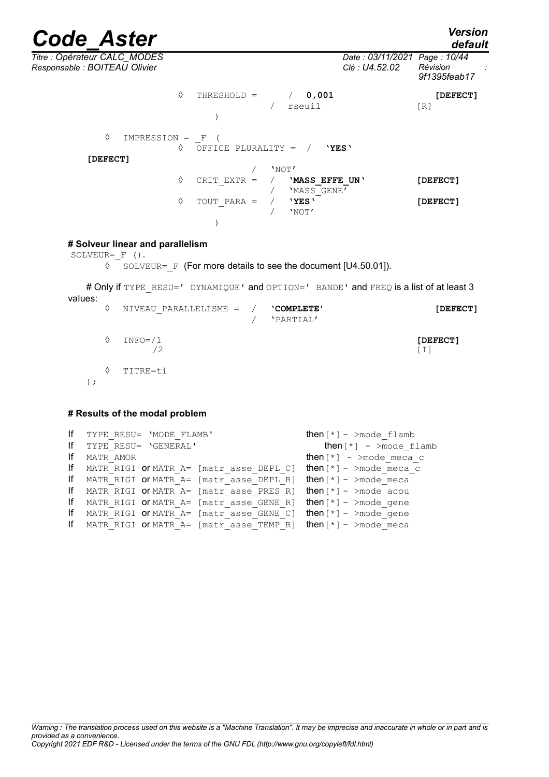*default*

| Titre : Opérateur CALC_MODES<br>Responsable : BOITEAU Olivier |   |                    |       |                               | Date: 03/11/2021 Page: 10/44<br>Clé : U4.52.02 | Révision<br>9f1395feab17 |  |
|---------------------------------------------------------------|---|--------------------|-------|-------------------------------|------------------------------------------------|--------------------------|--|
|                                                               | ♦ | THRESHOLD =        |       | 0,001<br>rseuil               |                                                | [DEFECT]<br>[R]          |  |
| ♦<br>$IMPRESSION = F$<br>[DEFECT]                             | ♦ | OFFICE PLURALITY = |       | 'YES'                         |                                                |                          |  |
|                                                               |   |                    | 'NOT' |                               |                                                |                          |  |
|                                                               | ♦ | CRIT EXTR $=$      |       | 'MASS EFFE UN'<br>'MASS GENE' |                                                | [DEFECT]                 |  |
|                                                               | ♦ | TOUT PARA =        |       | 'YES'<br>'NOT'                |                                                | [DEFECT]                 |  |
|                                                               |   |                    |       |                               |                                                |                          |  |
|                                                               |   |                    |       |                               |                                                |                          |  |

#### **# Solveur linear and parallelism**

```
SOLVEUR= F ().
```
◊ SOLVEUR=\_F (For more details to see the document [U4.50.01]).

# Only if TYPE\_RESU=' DYNAMIQUE' and OPTION=' BANDE' and FREQ is a list of at least 3 values: ◊ NIVEAU\_PARALLELISME = / **'COMPLETE' [DEFECT]**

/ 'PARTIAL' ◊ INFO=/1 **[DEFECT]**  $/2$  [I] ◊ TITRE=ti );

#### **# Results of the modal problem**

```
If TYPE RESU= 'MODE FLAMB' then[*] - >mode flamb
If TYPE RESU= 'GENERAL' then [*] - >mode flamb
If MATR AMOR t = \frac{1}{2} then \lceil \cdot \rceil - >mode meca c
If MATR RIGI OF MATR A= [matr asse DEPL C] then [*] - >mode meca c
If MATR RIGI OF MATR A= [matr asse DEPL R] then [*] - >mode meca
If MATR_RIGI or MATR_A= [matr_asse_PRES_R] then[*] - >mode_acou
If MATR_RIGI or MATR_A= [matr_asse_GENE_R] then[*] - >mode_gene
If MATR RIGI OF MATR A= [matr asse GENE C] then [*] - >mode gene
If MATR RIGI OF MATR A= [matr asse TEMP R] then [*] - >mode meca
```
*Warning : The translation process used on this website is a "Machine Translation". It may be imprecise and inaccurate in whole or in part and is provided as a convenience. Copyright 2021 EDF R&D - Licensed under the terms of the GNU FDL (http://www.gnu.org/copyleft/fdl.html)*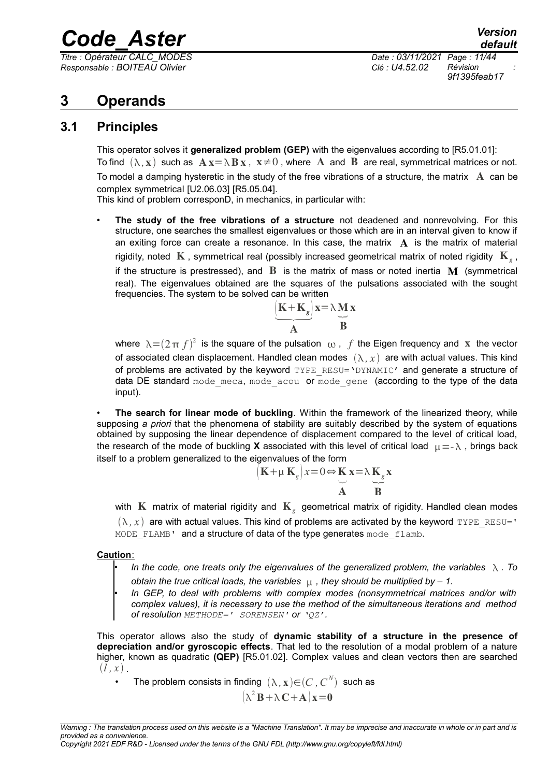*Responsable : BOITEAU Olivier Clé : U4.52.02 Révision :*

*Titre : Opérateur CALC\_MODES Date : 03/11/2021 Page : 11/44 9f1395feab17*

## <span id="page-10-1"></span>**3 Operands**

### **3.1 Principles**

<span id="page-10-0"></span>This operator solves it **generalized problem (GEP)** with the eigenvalues according to [R5.01.01]: To find  $(\lambda, x)$  such as  $A x = \lambda B x$ ,  $x \neq 0$ , where A and B are real, symmetrical matrices or not. To model a damping hysteretic in the study of the free vibrations of a structure, the matrix  $\Lambda$  can be complex symmetrical [U2.06.03] [R5.05.04].

This kind of problem corresponD, in mechanics, in particular with:

• **The study of the free vibrations of a structure** not deadened and nonrevolving. For this structure, one searches the smallest eigenvalues or those which are in an interval given to know if an exiting force can create a resonance. In this case, the matrix  $\bf{A}$  is the matrix of material rigidity, noted  $\, {\bf K}$  , symmetrical real (possibly increased geometrical matrix of noted rigidity  $\, {\bf K}_{{}_g}$  , if the structure is prestressed), and  $\bf{B}$  is the matrix of mass or noted inertia  $\bf{M}$  (symmetrical real). The eigenvalues obtained are the squares of the pulsations associated with the sought frequencies. The system to be solved can be written<br>  $(K + K_g)x =$ 

$$
\underbrace{(K+K_g)}_{A}x = \lambda \underbrace{M}_{B} x
$$

where  $\,\lambda\!=\!(2\pi\,f)^2\,$  is the square of the pulsation  $\,\omega$  ,  $\,f$  the Eigen frequency and  $\,\mathbf x\,$  the vector of associated clean displacement. Handled clean modes  $(\lambda, x)$  are with actual values. This kind of problems are activated by the keyword  $T YPE$  RESU='DYNAMIC' and generate a structure of data DE standard mode meca, mode acou or mode gene (according to the type of the data input).

• **The search for linear mode of buckling**. Within the framework of the linearized theory, while supposing *a priori* that the phenomena of stability are suitably described by the system of equations obtained by supposing the linear dependence of displacement compared to the level of critical load, the research of the mode of buckling **X** associated with this level of critical load  $\mu = -\lambda$ , brings back itself to a problem generalized to the eigenvalues of the form

$$
(\mathbf{K} + \mu \mathbf{K}_g) x = 0 \Leftrightarrow \mathbf{K} \mathbf{x} = \lambda \mathbf{K}_g \mathbf{x}
$$
  
\n**A B**

with  $\, {\bf K} \,$  matrix of material rigidity and  $\, {\bf K} \,$  geometrical matrix of rigidity. Handled clean modes  $(\lambda, x)$  are with actual values. This kind of problems are activated by the keyword TYPE\_RESU='

MODE FLAMB' and a structure of data of the type generates mode flamb.

 **Caution**:

• *In the code, one treats only the eigenvalues of the generalized problem, the variables . To obtain the true critical loads, the variables*  $\mu$ , they should be multiplied by - 1.

• *In GEP, to deal with problems with complex modes (nonsymmetrical matrices and/or with complex values), it is necessary to use the method of the simultaneous iterations and method of resolution METHODE=' SORENSEN' or 'QZ'.*

This operator allows also the study of **dynamic stability of a structure in the presence of depreciation and/or gyroscopic effects**. That led to the resolution of a modal problem of a nature higher, known as quadratic **(QEP)** [R5.01.02]. Complex values and clean vectors then are searched  $(l, x)$ .

• The problem consists in finding  $(\lambda, \mathbf{x}){\in}$  $(C, C^N)$  such as  $(\lambda^2 \mathbf{B} + \lambda \mathbf{C} + \mathbf{A})\mathbf{x} = 0$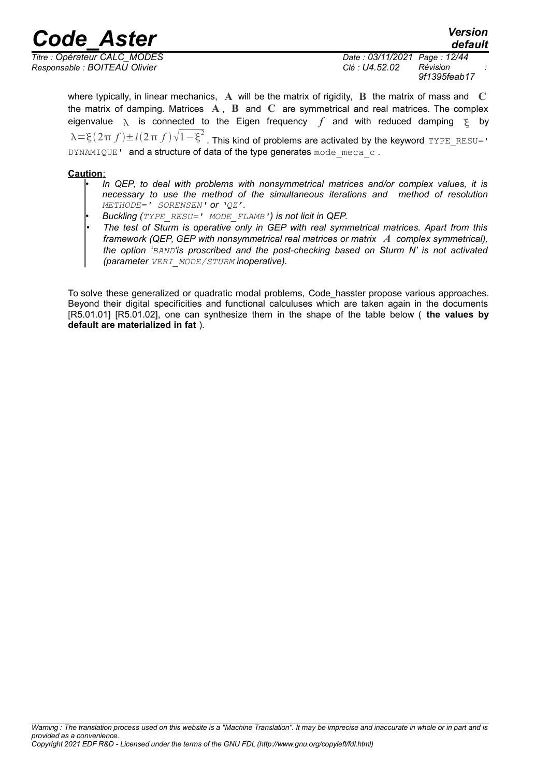*Responsable : BOITEAU Olivier Clé : U4.52.02 Révision :*

*Titre : Opérateur CALC\_MODES Date : 03/11/2021 Page : 12/44 9f1395feab17*

*default*

where typically, in linear mechanics, **A** will be the matrix of rigidity, **B** the matrix of mass and **C** the matrix of damping. Matrices **A** , **B** and **C** are symmetrical and real matrices. The complex eigenvalue  $\lambda$  is connected to the Eigen frequency f and with reduced damping  $\xi$  by  $\lambda$ =ξ $(2\pi f)$ ± $i$  $(2\pi f)$  $\sqrt{1-\xi^2}$  . This kind of problems are activated by the keyword TYPE\_RESU=' DYNAMIQUE' and a structure of data of the type generates mode meca\_c.

#### **Caution**:

- *In QEP, to deal with problems with nonsymmetrical matrices and/or complex values, it is necessary to use the method of the simultaneous iterations and method of resolution METHODE=' SORENSEN' or 'QZ'.*
- *Buckling (TYPE\_RESU=' MODE\_FLAMB') is not licit in QEP.*
- *The test of Sturm is operative only in GEP with real symmetrical matrices. Apart from this framework (QEP, GEP with nonsymmetrical real matrices or matrix A complex symmetrical), the option 'BAND'is proscribed and the post-checking based on Sturm N' is not activated (parameter VERI\_MODE/STURM inoperative).*

To solve these generalized or quadratic modal problems, Code hasster propose various approaches. Beyond their digital specificities and functional calculuses which are taken again in the documents [R5.01.01] [R5.01.02], one can synthesize them in the shape of the table below ( **the values by default are materialized in fat** ).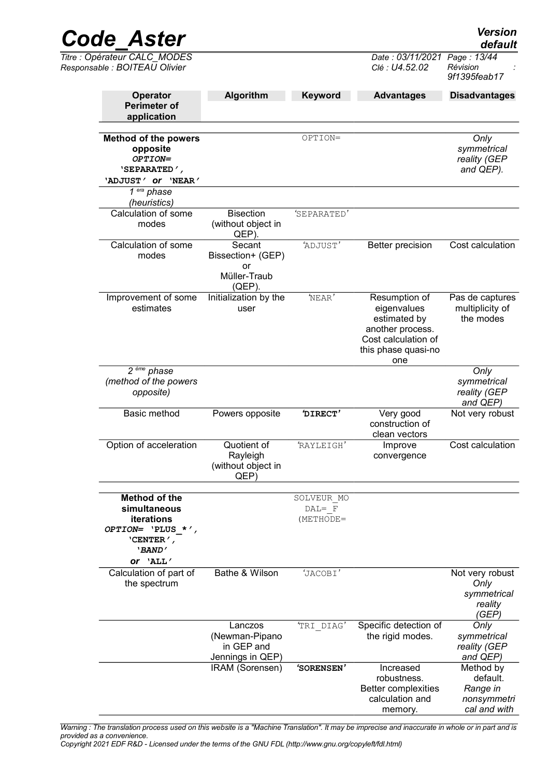| <b>Code Aster</b>                                                                                  |                                                                |                                      |                                                                                                                       | <b>Version</b><br>default                                  |
|----------------------------------------------------------------------------------------------------|----------------------------------------------------------------|--------------------------------------|-----------------------------------------------------------------------------------------------------------------------|------------------------------------------------------------|
| Titre : Opérateur CALC_MODES<br>Responsable : BOITEAU Olivier                                      |                                                                |                                      | Date: 03/11/2021<br>Clé: U4.52.02                                                                                     | Page: 13/44<br>Révision<br>9f1395feab17                    |
| Operator<br><b>Perimeter of</b><br>application                                                     | Algorithm                                                      | Keyword                              | <b>Advantages</b>                                                                                                     | <b>Disadvantages</b>                                       |
| <b>Method of the powers</b><br>opposite<br>OPTION=<br>'SEPARATED',<br>'ADJUST ' Or 'NEAR'          |                                                                | OPTION=                              |                                                                                                                       | Only<br>symmetrical<br>reality (GEP<br>and QEP).           |
| $\overline{1}$ era phase<br>(heuristics)                                                           |                                                                |                                      |                                                                                                                       |                                                            |
| Calculation of some<br>modes                                                                       | <b>Bisection</b><br>(without object in<br>QEP).                | 'SEPARATED'                          |                                                                                                                       |                                                            |
| Calculation of some<br>modes                                                                       | Secant<br>Bissection+ (GEP)<br>or<br>Müller-Traub<br>$(QEP)$ . | 'ADJUST'                             | Better precision                                                                                                      | Cost calculation                                           |
| Improvement of some<br>estimates                                                                   | Initialization by the<br>user                                  | 'NEAR'                               | Resumption of<br>eigenvalues<br>estimated by<br>another process.<br>Cost calculation of<br>this phase quasi-no<br>one | Pas de captures<br>multiplicity of<br>the modes            |
| 2 <sup>eme</sup> phase<br>(method of the powers<br>opposite)                                       |                                                                |                                      |                                                                                                                       | Only<br>symmetrical<br>reality (GEP<br>and QEP)            |
| Basic method                                                                                       | Powers opposite                                                | 'DIRECT'                             | Very good<br>construction of<br>clean vectors                                                                         | Not very robust                                            |
| Option of acceleration                                                                             | Quotient of<br>Rayleigh<br>(without object in<br>QEP)          | <b>RAYLEIGH</b>                      | Improve<br>convergence                                                                                                | Cost calculation                                           |
| Method of the<br>simultaneous<br>iterations<br>OPTION= $'PLUS *',$<br>'CENTER $\prime$ ,<br>'BAND' |                                                                | SOLVEUR MO<br>$DAL = F$<br>(METHODE= |                                                                                                                       |                                                            |
| Or 'ALL'<br>Calculation of part of<br>the spectrum                                                 | Bathe & Wilson                                                 | 'JACOBI'                             |                                                                                                                       | Not very robust<br>Only<br>symmetrical<br>reality<br>(GEP) |
|                                                                                                    | Lanczos                                                        | TRI DIAG'                            | Specific detection of                                                                                                 | Only                                                       |

*Warning : The translation process used on this website is a "Machine Translation". It may be imprecise and inaccurate in whole or in part and is provided as a convenience.*

IRAM (Sorensen) *'***SORENSEN***'* Increased

the rigid modes.

robustness. Better complexities calculation and memory.

*symmetrical reality (GEP and QEP)*

Method by default. *Range in nonsymmetri cal and with*

*Copyright 2021 EDF R&D - Licensed under the terms of the GNU FDL (http://www.gnu.org/copyleft/fdl.html)*

(Newman-Pipano in GEP and Jennings in QEP)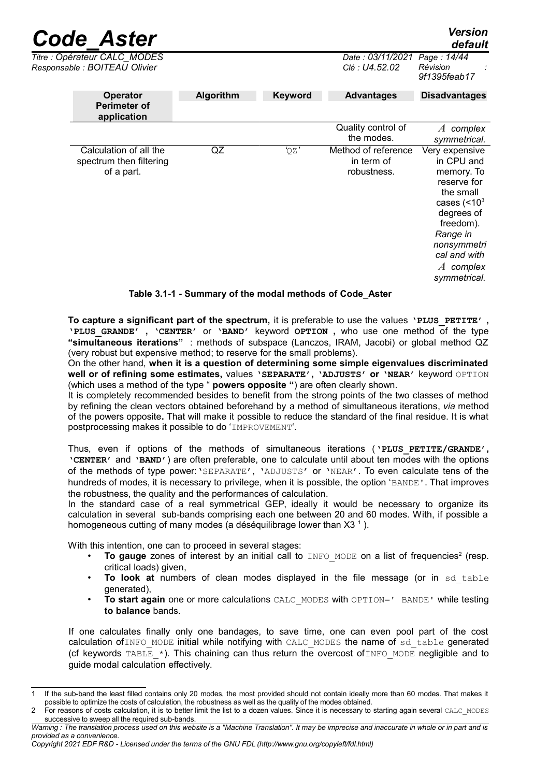| <b>Code Aster</b>                                               |           |         |                                                  | <b>Version</b><br>default                                                                                                                                                                     |
|-----------------------------------------------------------------|-----------|---------|--------------------------------------------------|-----------------------------------------------------------------------------------------------------------------------------------------------------------------------------------------------|
| Titre : Opérateur CALC MODES<br>Responsable : BOITEAU Olivier   |           |         | Date : 03/11/2021<br>Clé : U4.52.02              | Page: 14/44<br>Révision<br>9f1395feab17                                                                                                                                                       |
| Operator<br><b>Perimeter of</b><br>application                  | Algorithm | Keyword | <b>Advantages</b>                                | <b>Disadvantages</b>                                                                                                                                                                          |
|                                                                 |           |         | Quality control of<br>the modes.                 | complex<br>$\boldsymbol{A}$<br>symmetrical.                                                                                                                                                   |
| Calculation of all the<br>spectrum then filtering<br>of a part. | QZ        | 'QZ'    | Method of reference<br>in term of<br>robustness. | Very expensive<br>in CPU and<br>memory. To<br>reserve for<br>the small<br>cases $(< 103$<br>degrees of<br>freedom).<br>Range in<br>nonsymmetri<br>cal and with<br>$A$ complex<br>symmetrical. |

#### <span id="page-13-2"></span>**Table 3.1-1 - Summary of the modal methods of Code\_Aster**

**To capture a significant part of the spectrum,** it is preferable to use the values **'PLUS\_PETITE' , 'PLUS\_GRANDE' , 'CENTER'** or **'BAND'** keyword **OPTION ,** who use one method of the type **"simultaneous iterations"** : methods of subspace (Lanczos, IRAM, Jacobi) or global method QZ (very robust but expensive method; to reserve for the small problems).

On the other hand, **when it is a question of determining some simple eigenvalues discriminated well or of refining some estimates,** values **'SEPARATE', 'ADJUSTS' or 'NEAR'** keyword OPTION (which uses a method of the type " **powers opposite "**) are often clearly shown.

It is completely recommended besides to benefit from the strong points of the two classes of method by refining the clean vectors obtained beforehand by a method of simultaneous iterations, *via* method of the powers opposite**.** That will make it possible to reduce the standard of the final residue. It is what postprocessing makes it possible to do 'IMPROVEMENT'.

Thus, even if options of the methods of simultaneous iterations (**'PLUS\_PETITE/GRANDE', 'CENTER'** and **'BAND'**) are often preferable, one to calculate until about ten modes with the options of the methods of type power:'SEPARATE', 'ADJUSTS' or 'NEAR'. To even calculate tens of the hundreds of modes, it is necessary to privilege, when it is possible, the option 'BANDE'. That improves the robustness, the quality and the performances of calculation.

In the standard case of a real symmetrical GEP, ideally it would be necessary to organize its calculation in several sub-bands comprising each one between 20 and 60 modes. With, if possible a homogeneous cutting of many modes (a déséquilibrage lower than  $X3<sup>-1</sup>$  $X3<sup>-1</sup>$  $X3<sup>-1</sup>$ ).

With this intention, one can to proceed in several stages:

- To gauge zones of interest by an initial call to INFO\_MODE on a list of frequencies<sup>[2](#page-13-1)</sup> (resp. critical loads) given,
- **To look at** numbers of clean modes displayed in the file message (or in sd table generated),
- **To start again** one or more calculations CALC\_MODES with OPTION=' BANDE' while testing **to balance** bands.

If one calculates finally only one bandages, to save time, one can even pool part of the cost calculation of INFO\_MODE initial while notifying with CALC\_MODES the name of sd\_table generated (cf keywords  $TABLE^{-*}$ ). This chaining can thus return the overcost of INFO\_MODE negligible and to guide modal calculation effectively.

*Copyright 2021 EDF R&D - Licensed under the terms of the GNU FDL (http://www.gnu.org/copyleft/fdl.html)*

<span id="page-13-0"></span>If the sub-band the least filled contains only 20 modes, the most provided should not contain ideally more than 60 modes. That makes it possible to optimize the costs of calculation, the robustness as well as the quality of the modes obtained.

<span id="page-13-1"></span>For reasons of costs calculation, it is to better limit the list to a dozen values. Since it is necessary to starting again several CALC\_MODES successive to sweep all the required sub-bands.

*Warning : The translation process used on this website is a "Machine Translation". It may be imprecise and inaccurate in whole or in part and is provided as a convenience.*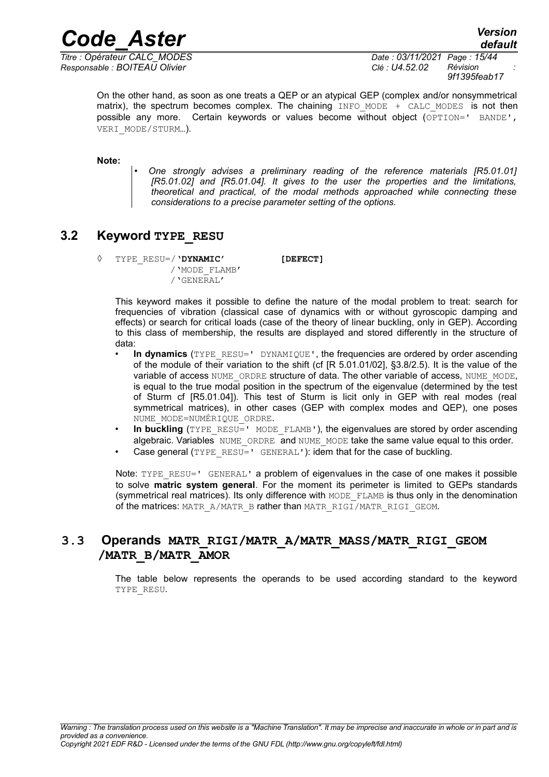*Titre : Opérateur CALC\_MODES Date : 03/11/2021 Page : 15/44 Responsable : BOITEAU Olivier Clé : U4.52.02 Révision :*

*9f1395feab17*

On the other hand, as soon as one treats a QEP or an atypical GEP (complex and/or nonsymmetrical matrix), the spectrum becomes complex. The chaining  $I\text{NFO}$  MODE + CALC MODES is not then possible any more. Certain keywords or values become without object (OPTION=' BANDE', VERI\_MODE/STURM…).

**Note:**

• *One strongly advises a preliminary reading of the reference materials [R5.01.01] [R5.01.02] and [R5.01.04]. It gives to the user the properties and the limitations, theoretical and practical, of the modal methods approached while connecting these considerations to a precise parameter setting of the options.*

### **3.2 Keyword TYPE\_RESU**

<span id="page-14-1"></span>◊ TYPE\_RESU=/**'DYNAMIC' [DEFECT]** /'MODE\_FLAMB'

/'GENERAL'

This keyword makes it possible to define the nature of the modal problem to treat: search for frequencies of vibration (classical case of dynamics with or without gyroscopic damping and effects) or search for critical loads (case of the theory of linear buckling, only in GEP). According to this class of membership, the results are displayed and stored differently in the structure of data:

- **In dynamics** (TYPE\_RESU=' DYNAMIQUE', the frequencies are ordered by order ascending of the module of their variation to the shift (cf [R 5.01.01/02], §3.8/2.5). It is the value of the variable of access NUME\_ORDRE structure of data. The other variable of access, NUME\_MODE, is equal to the true modal position in the spectrum of the eigenvalue (determined by the test of Sturm cf [R5.01.04]). This test of Sturm is licit only in GEP with real modes (real symmetrical matrices), in other cases (GEP with complex modes and QEP), one poses NUME\_MODE=NUMÉRIQUE\_ORDRE.
- In buckling (TYPE\_RESU=' MODE\_FLAMB'), the eigenvalues are stored by order ascending algebraic. Variables NUME ORDRE and NUME MODE take the same value equal to this order.
- Case general (TYPE\_RESU=' GENERAL'): idem that for the case of buckling.

Note: TYPE\_RESU=' GENERAL' a problem of eigenvalues in the case of one makes it possible to solve **matric system general**. For the moment its perimeter is limited to GEPs standards (symmetrical real matrices). Its only difference with MODE\_FLAMB is thus only in the denomination of the matrices: MATR\_A/MATR\_B rather than MATR\_RIGI/MATR\_RIGI\_GEOM.

#### <span id="page-14-0"></span>**3.3 Operands MATR\_RIGI/MATR\_A/MATR\_MASS/MATR\_RIGI\_GEOM /MATR\_B/MATR\_AMOR**

The table below represents the operands to be used according standard to the keyword TYPE\_RESU.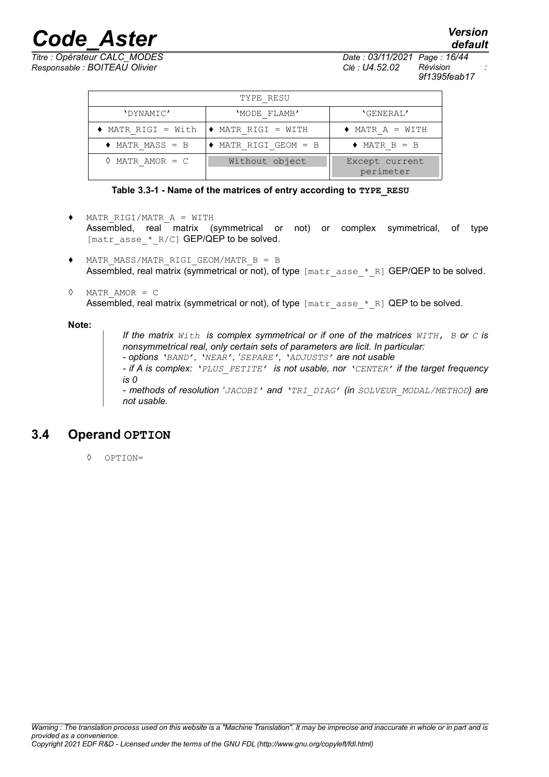## *Code\_Aster Version Titre : Opérateur CALC\_MODES Date : 03/11/2021 Page : 16/44*

*Responsable : BOITEAU Olivier Clé : U4.52.02 Révision :*

*9f1395feab17*

*default*

| TYPE RESU                     |                                    |                             |  |  |  |
|-------------------------------|------------------------------------|-----------------------------|--|--|--|
| 'DYNAMIC'                     | 'MODE FLAMB'                       | 'GENERAL'                   |  |  |  |
| MATR RIGI = With              | ♦ MATR RIGI = WITH                 | $\triangle$ MATR A = WITH   |  |  |  |
| $\triangleleft$ MATR MASS = B | $\blacklozenge$ MATR RIGI GEOM = B | $\triangle$ MATR B = B      |  |  |  |
| MATR AMOR $= C$               | Without object                     | Except current<br>perimeter |  |  |  |

#### **Table 3.3-1 - Name of the matrices of entry according to TYPE\_RESU**

- ♦ MATR\_RIGI/MATR\_A = WITH Assembled, real matrix (symmetrical or not) or complex symmetrical, of type [matr\_asse  $*$  R/C] GEP/QEP to be solved.
- ♦ MATR\_MASS/MATR\_RIGI\_GEOM/MATR\_B = B Assembled, real matrix (symmetrical or not), of type  ${\lceil \text{matrix} \text{ assert} \rceil}$   $\leq$  R] GEP/QEP to be solved.
- ◊ MATR\_AMOR = C Assembled, real matrix (symmetrical or not), of type  $[\text{matrix } s \text{ is } k]$  QEP to be solved.

#### **Note:**

*If the matrix With is complex symmetrical or if one of the matrices WITH, B or C is nonsymmetrical real, only certain sets of parameters are licit. In particular: - options 'BAND', 'NEAR', 'SEPARE', 'ADJUSTS' are not usable - if A is complex: 'PLUS\_PETITE' is not usable, nor 'CENTER' if the target frequency is 0 - methods of resolution 'JACOBI' and 'TRI\_DIAG' (in SOLVEUR\_MODAL/METHOD) are not usable.*

### **3.4 Operand OPTION**

<span id="page-15-0"></span>◊ OPTION=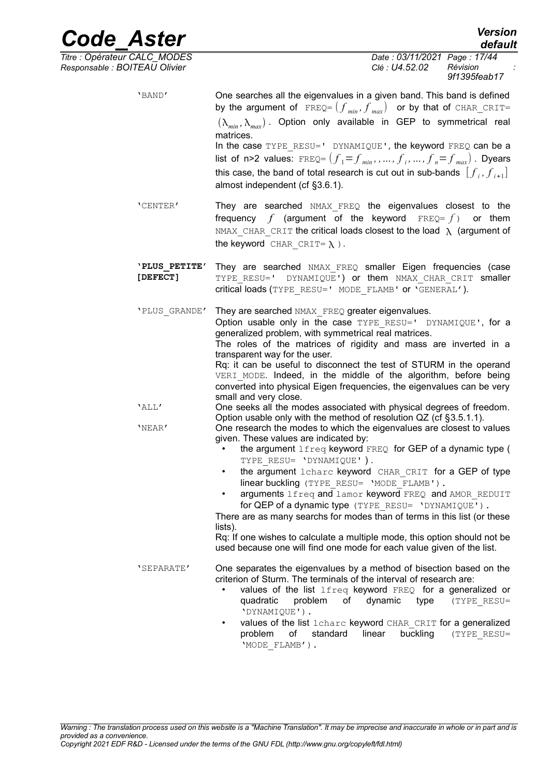*Code\_Aster Version default Titre : Opérateur CALC\_MODES Date : 03/11/2021 Page : 17/44 Responsable : BOITEAU Olivier Clé : U4.52.02 Révision : 9f1395feab17* 'BAND' One searches all the eigenvalues in a given band. This band is defined by the argument of  $FREQ = (f_{min}, f_{max})$  or by that of CHAR\_CRIT=  $(\lambda_{min}, \lambda_{max})$ . Option only available in GEP to symmetrical real matrices. In the case TYPE\_RESU=' DYNAMIQUE', the keyword FREQ can be a list of <code>n>2</code> values: <code>FREQ=</code>  $(f_{1}$ = $f_{min}$ , , ... ,  $f_{i}$ , ... ,  $f_{n}$ = $f_{max}$ ) . Dyears this case, the band of total research is cut out in sub-bands  $\left[\,f_{\scriptscriptstyle \, i},f_{\scriptscriptstyle \, i+1}\right]$ almost independent (cf [§3.6.1\)](#page-21-0). 'CENTER' They are searched NMAX\_FREQ the eigenvalues closest to the frequency f (argument of the keyword  $\text{FREQ} = f$ ) or them NMAX CHAR CRIT the critical loads closest to the load  $\lambda$  (argument of the keyword CHAR CRIT=  $\lambda$ ). **'PLUS\_PETITE' [DEFECT]** They are searched NMAX FREQ smaller Eigen frequencies (case TYPE RESU=' DYNAMIQUE') or them NMAX CHAR CRIT smaller critical loads (TYPE\_RESU=' MODE\_FLAMB' or 'GENERAL'). 'PLUS GRANDE' They are searched NMAX FREQ greater eigenvalues. Option usable only in the case TYPE\_RESU=' DYNAMIQUE', for a generalized problem, with symmetrical real matrices. The roles of the matrices of rigidity and mass are inverted in a transparent way for the user. Rq: it can be useful to disconnect the test of STURM in the operand VERI MODE. Indeed, in the middle of the algorithm, before being converted into physical Eigen frequencies, the eigenvalues can be very small and very close. 'ALL' One seeks all the modes associated with physical degrees of freedom. Option usable only with the method of resolution QZ (cf §[3.5.1.1\)](#page-17-0). 'NEAR' One research the modes to which the eigenvalues are closest to values given. These values are indicated by: the argument lfreq keyword FREQ for GEP of a dynamic type ( TYPE RESU= 'DYNAMIQUE' ). the argument lcharc keyword CHAR CRIT for a GEP of type linear buckling (TYPE\_RESU= 'MODE\_FLAMB'). arguments lfreq and lamor keyword FREQ and AMOR\_REDUIT for QEP of a dynamic type (TYPE\_RESU= 'DYNAMIQUE'). There are as many searchs for modes than of terms in this list (or these lists). Rq: If one wishes to calculate a multiple mode, this option should not be used because one will find one mode for each value given of the list. 'SEPARATE' One separates the eigenvalues by a method of bisection based on the criterion of Sturm. The terminals of the interval of research are:

- values of the list lfreq keyword FREQ for a generalized or quadratic problem of dynamic type (TYPE\_RESU= 'DYNAMIQUE').
- values of the list lcharc keyword CHAR\_CRIT for a generalized problem of standard linear buckling (TYPE\_RESU= 'MODE\_FLAMB').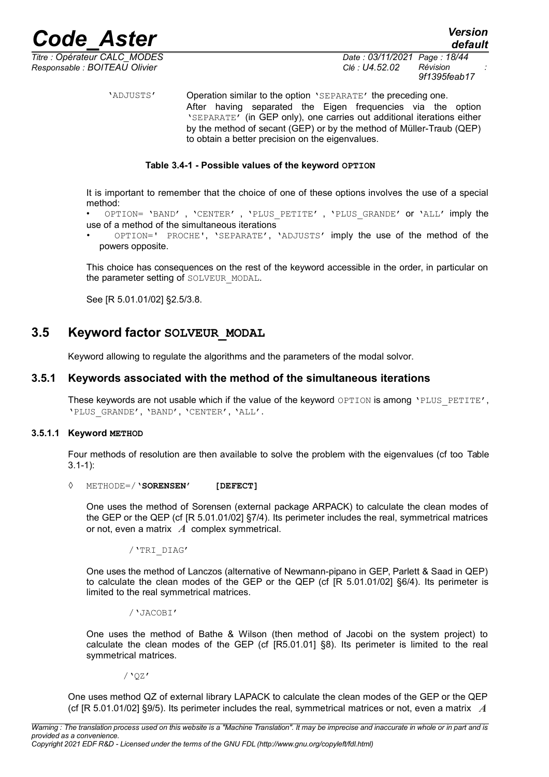

*default*

*Titre : Opérateur CALC\_MODES Date : 03/11/2021 Page : 18/44 Responsable : BOITEAU Olivier Clé : U4.52.02 Révision :*

'ADJUSTS' Operation similar to the option 'SEPARATE' the preceding one. After having separated the Eigen frequencies via the option 'SEPARATE' (in GEP only), one carries out additional iterations either by the method of secant (GEP) or by the method of Müller-Traub (QEP) to obtain a better precision on the eigenvalues.

#### **Table 3.4-1 - Possible values of the keyword OPTION**

It is important to remember that the choice of one of these options involves the use of a special method:

OPTION= 'BAND', 'CENTER', 'PLUS PETITE', 'PLUS GRANDE' or 'ALL' imply the use of a method of the simultaneous iterations

• OPTION=' PROCHE', 'SEPARATE', 'ADJUSTS' imply the use of the method of the powers opposite.

This choice has consequences on the rest of the keyword accessible in the order, in particular on the parameter setting of SOLVEUR MODAL.

See [R 5.01.01/02] §2.5/3.8.

### **3.5 Keyword factor SOLVEUR\_MODAL**

<span id="page-17-2"></span><span id="page-17-1"></span>Keyword allowing to regulate the algorithms and the parameters of the modal solvor.

#### **3.5.1 Keywords associated with the method of the simultaneous iterations**

These keywords are not usable which if the value of the keyword OPTION is among 'PLUS PETITE', 'PLUS\_GRANDE', 'BAND', 'CENTER', 'ALL'.

#### **3.5.1.1 Keyword METHOD**

<span id="page-17-0"></span>Four methods of resolution are then available to solve the problem with the eigenvalues (cf too [Table](#page-13-2) [3.1-1\)](#page-13-2):

#### ◊ METHODE=/**'SORENSEN' [DEFECT]**

One uses the method of Sorensen (external package ARPACK) to calculate the clean modes of the GEP or the QEP (cf [R 5.01.01/02] §7/4). Its perimeter includes the real, symmetrical matrices or not, even a matrix *A* complex symmetrical.

/'TRI\_DIAG'

One uses the method of Lanczos (alternative of Newmann-pipano in GEP, Parlett & Saad in QEP) to calculate the clean modes of the GEP or the QEP (cf [R 5.01.01/02] §6/4). Its perimeter is limited to the real symmetrical matrices.

/'JACOBI'

One uses the method of Bathe & Wilson (then method of Jacobi on the system project) to calculate the clean modes of the GEP (cf [R5.01.01] §8). Its perimeter is limited to the real symmetrical matrices.

/'QZ'

One uses method QZ of external library LAPACK to calculate the clean modes of the GEP or the QEP (cf [R 5.01.01/02] §9/5). Its perimeter includes the real, symmetrical matrices or not, even a matrix *A*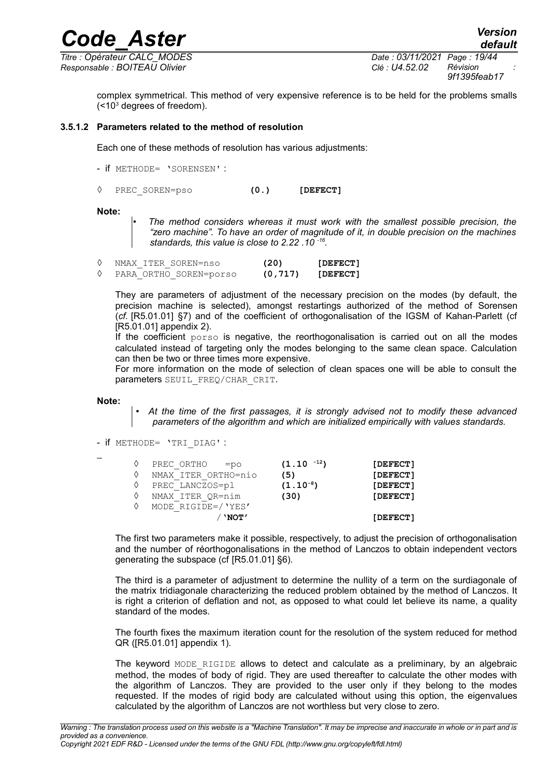*Titre : Opérateur CALC\_MODES Date : 03/11/2021 Page : 19/44 Responsable : BOITEAU Olivier Clé : U4.52.02 Révision :*

*default*

complex symmetrical. This method of very expensive reference is to be held for the problems smalls  $(<$ 10<sup>3</sup> degrees of freedom).

*Code\_Aster Version*

#### **3.5.1.2 Parameters related to the method of resolution**

<span id="page-18-0"></span>Each one of these methods of resolution has various adjustments:

- if METHODE= 'SORENSEN' :
- ◊ PREC\_SOREN=pso **(0.) [DEFECT]**

**Note:**

• *The method considers whereas it must work with the smallest possible precision, the "zero machine". To have an order of magnitude of it, in double precision on the machines standards, this value is close to 2.22 .10 -16 .*

| NMAX ITER SOREN=nso    | (20)     |          |
|------------------------|----------|----------|
| PARA ORTHO SOREN=porso | (0, 717) | [DEFECT] |

They are parameters of adjustment of the necessary precision on the modes (by default, the precision machine is selected), amongst restartings authorized of the method of Sorensen (*cf.* [R5.01.01] §7) and of the coefficient of orthogonalisation of the IGSM of Kahan-Parlett (cf [R5.01.01] appendix 2).

If the coefficient porso is negative, the reorthogonalisation is carried out on all the modes calculated instead of targeting only the modes belonging to the same clean space. Calculation can then be two or three times more expensive.

For more information on the mode of selection of clean spaces one will be able to consult the parameters SEUIL\_FREQ/CHAR\_CRIT.

**Note:**

• *At the time of the first passages, it is strongly advised not to modify these advanced parameters of the algorithm and which are initialized empirically with values standards.*

- if METHODE= 'TRI\_DIAG' :

| _ |  |  |
|---|--|--|
|   |  |  |
|   |  |  |

| ♦<br>♦<br>♦ | PREC ORTHO<br>$=$ po<br>NMAX ITER ORTHO=nio<br>PREC LANCZOS=pl | $(1.10-12)$<br>(5)<br>$(1.10^{-8})$ | [DEFECT]<br>[DEFECT]<br>[DEFECT] |
|-------------|----------------------------------------------------------------|-------------------------------------|----------------------------------|
| ♦<br>♦      | NMAX ITER OR=nim<br>MODE RIGIDE=/'YES'                         | (30)                                | [DEFECT]                         |
|             | $^{\prime}$ 'NOT $^{\prime}$                                   |                                     | [DEFECT]                         |

The first two parameters make it possible, respectively, to adjust the precision of orthogonalisation and the number of réorthogonalisations in the method of Lanczos to obtain independent vectors generating the subspace (cf [R5.01.01] §6).

The third is a parameter of adjustment to determine the nullity of a term on the surdiagonale of the matrix tridiagonale characterizing the reduced problem obtained by the method of Lanczos. It is right a criterion of deflation and not, as opposed to what could let believe its name, a quality standard of the modes.

The fourth fixes the maximum iteration count for the resolution of the system reduced for method QR ([R5.01.01] appendix 1).

The keyword MODE RIGIDE allows to detect and calculate as a preliminary, by an algebraic method, the modes of body of rigid. They are used thereafter to calculate the other modes with the algorithm of Lanczos. They are provided to the user only if they belong to the modes requested. If the modes of rigid body are calculated without using this option, the eigenvalues calculated by the algorithm of Lanczos are not worthless but very close to zero.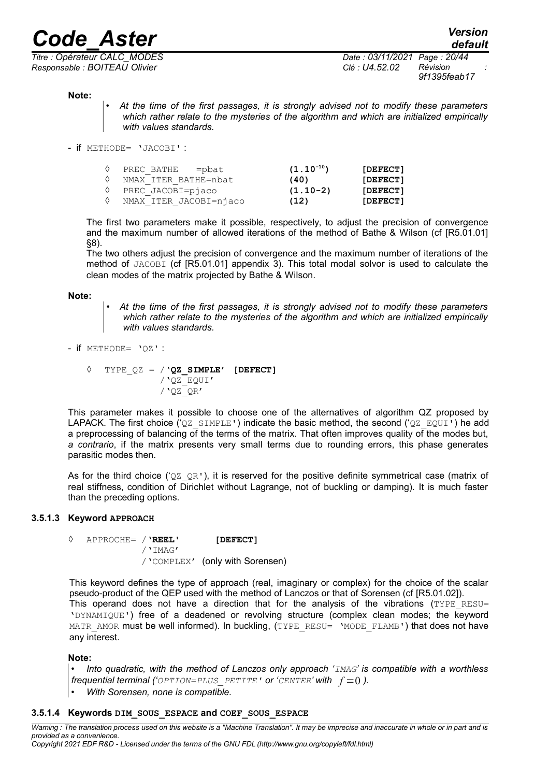## *Code\_Aster Version*<br>*Code\_Aster CALC MODES Date* : 03/11/2021 Page : 20/44

*Titre : Opérateur CALC\_MODES Date : 03/11/2021 Page : 20/44 Responsable : BOITEAU Olivier Clé : U4.52.02 Révision :*

*9f1395feab17*

#### **Note:**

- *At the time of the first passages, it is strongly advised not to modify these parameters which rather relate to the mysteries of the algorithm and which are initialized empirically with values standards.*
- if METHODE= 'JACOBI' :

| $\Diamond$ | PREC BATHE = pbat      | $(1.10^{-10})$ | [DEFECT] |
|------------|------------------------|----------------|----------|
|            | NMAX ITER BATHE=nbat   | (40)           | [DEFECT] |
|            | PREC JACOBI=piaco      | $(1.10-2)$     | [DEFECT] |
|            | NMAX ITER JACOBI=njaco | (12)           | [DEFECT] |

The first two parameters make it possible, respectively, to adjust the precision of convergence and the maximum number of allowed iterations of the method of Bathe & Wilson (cf [R5.01.01] §8).

The two others adjust the precision of convergence and the maximum number of iterations of the method of JACOBI (cf [R5.01.01] appendix 3). This total modal solvor is used to calculate the clean modes of the matrix projected by Bathe & Wilson.

#### **Note:**

• *At the time of the first passages, it is strongly advised not to modify these parameters which rather relate to the mysteries of the algorithm and which are initialized empirically with values standards.*

- if METHODE= 'QZ' :

◊ TYPE\_QZ = /**'QZ\_SIMPLE' [DEFECT]** /'QZ\_EQUI'  $/$ '0Z\_0R'

This parameter makes it possible to choose one of the alternatives of algorithm QZ proposed by LAPACK. The first choice ('QZ\_SIMPLE') indicate the basic method, the second ('QZ\_EQUI') he add a preprocessing of balancing of the terms of the matrix. That often improves quality of the modes but, *a contrario*, if the matrix presents very small terms due to rounding errors, this phase generates parasitic modes then.

As for the third choice (' $QZ$   $QR$ '), it is reserved for the positive definite symmetrical case (matrix of real stiffness, condition of Dirichlet without Lagrange, not of buckling or damping). It is much faster than the preceding options.

#### **3.5.1.3 Keyword APPROACH**

<span id="page-19-1"></span>◊ APPROCHE= /'**REEL' [DEFECT]** /'IMAG' /'COMPLEX' (only with Sorensen)

This keyword defines the type of approach (real, imaginary or complex) for the choice of the scalar pseudo-product of the QEP used with the method of Lanczos or that of Sorensen (cf [R5.01.02]). This operand does not have a direction that for the analysis of the vibrations  $(TYPE$ <sub>RESU</sub>= 'DYNAMIQUE') free of a deadened or revolving structure (complex clean modes; the keyword MATR\_AMOR must be well informed). In buckling, (TYPE\_RESU= 'MODE\_FLAMB') that does not have any interest.

#### **Note:**

• *Into quadratic, with the method of Lanczos only approach 'IMAG' is compatible with a worthless frequential terminal ('OPTION=PLUS PETITE'* or '*CENTER*' with  $f = 0$ ).

<span id="page-19-0"></span>• *With Sorensen, none is compatible.*

#### **3.5.1.4 Keywords DIM\_SOUS\_ESPACE and COEF\_SOUS\_ESPACE**

*Warning : The translation process used on this website is a "Machine Translation". It may be imprecise and inaccurate in whole or in part and is provided as a convenience. Copyright 2021 EDF R&D - Licensed under the terms of the GNU FDL (http://www.gnu.org/copyleft/fdl.html)*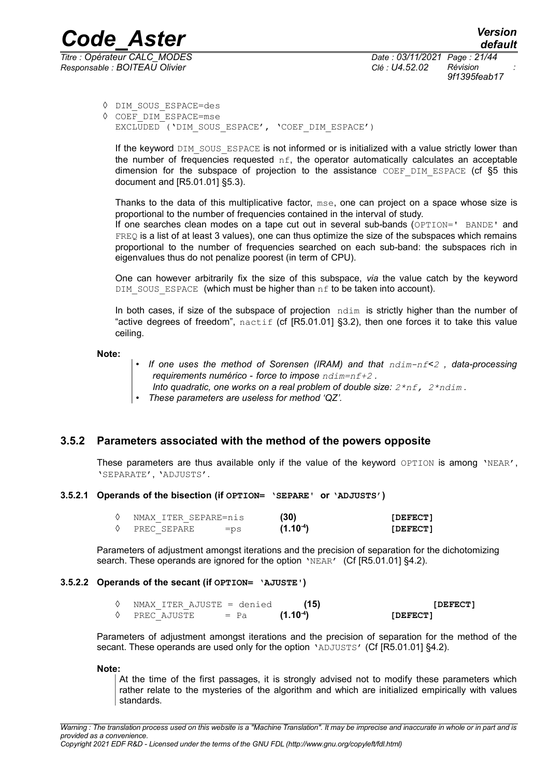*Titre : Opérateur CALC\_MODES Date : 03/11/2021 Page : 21/44 Responsable : BOITEAU Olivier Clé : U4.52.02 Révision :*

*9f1395feab17*

- ◊ DIM\_SOUS\_ESPACE=des
- ◊ COEF\_DIM\_ESPACE=mse EXCLUDED ('DIM\_SOUS\_ESPACE', 'COEF\_DIM\_ESPACE')

If the keyword DIM SOUS ESPACE is not informed or is initialized with a value strictly lower than the number of frequencies requested  $nf$ , the operator automatically calculates an acceptable dimension for the subspace of projection to the assistance  $COEF$   $DIM$  ESPACE (cf  $§5$  this document and [R5.01.01] §5.3).

Thanks to the data of this multiplicative factor, mse, one can project on a space whose size is proportional to the number of frequencies contained in the interval of study.

If one searches clean modes on a tape cut out in several sub-bands (OPTION=' BANDE' and FREQ is a list of at least 3 values), one can thus optimize the size of the subspaces which remains proportional to the number of frequencies searched on each sub-band: the subspaces rich in eigenvalues thus do not penalize poorest (in term of CPU).

One can however arbitrarily fix the size of this subspace, *via* the value catch by the keyword DIM SOUS ESPACE (which must be higher than  $nf$  to be taken into account).

In both cases, if size of the subspace of projection  $\pi$ dim is strictly higher than the number of "active degrees of freedom",  $n$ actif (cf [R5.01.01] §3.2), then one forces it to take this value ceiling.

**Note:**

- *If one uses the method of Sorensen (IRAM) and that ndim-nf<2 , data-processing requirements numérico - force to impose ndim=nf+2 .*
- *Into quadratic, one works on a real problem of double size: 2\*nf, 2\*ndim .*
- *These parameters are useless for method 'QZ'.*

#### **3.5.2 Parameters associated with the method of the powers opposite**

<span id="page-20-2"></span>These parameters are thus available only if the value of the keyword OPTION is among 'NEAR', 'SEPARATE', 'ADJUSTS'.

#### **3.5.2.1 Operands of the bisection (if OPTION= 'SEPARE' or 'ADJUSTS')**

<span id="page-20-1"></span>

|  |             | NMAX ITER SEPARE=nis | (30)       | [DEFECT] |
|--|-------------|----------------------|------------|----------|
|  | PREC SEPARE | $=$ ps               | $(1.10-4)$ | [DEFECT] |

Parameters of adjustment amongst iterations and the precision of separation for the dichotomizing search. These operands are ignored for the option 'NEAR' (Cf [R5.01.01] §4.2).

#### **3.5.2.2 Operands of the secant (if OPTION= 'AJUSTE')**

<span id="page-20-0"></span>

| NMAX ITER AJUSTE = denied |        | (15)       | [DEFECT] |
|---------------------------|--------|------------|----------|
| PREC AJUSTE               | $=$ Pa | $(1.10-4)$ | [DEFECT] |

Parameters of adjustment amongst iterations and the precision of separation for the method of the secant. These operands are used only for the option 'ADJUSTS' (Cf [R5.01.01] §4.2).

**Note:**

At the time of the first passages, it is strongly advised not to modify these parameters which rather relate to the mysteries of the algorithm and which are initialized empirically with values standards.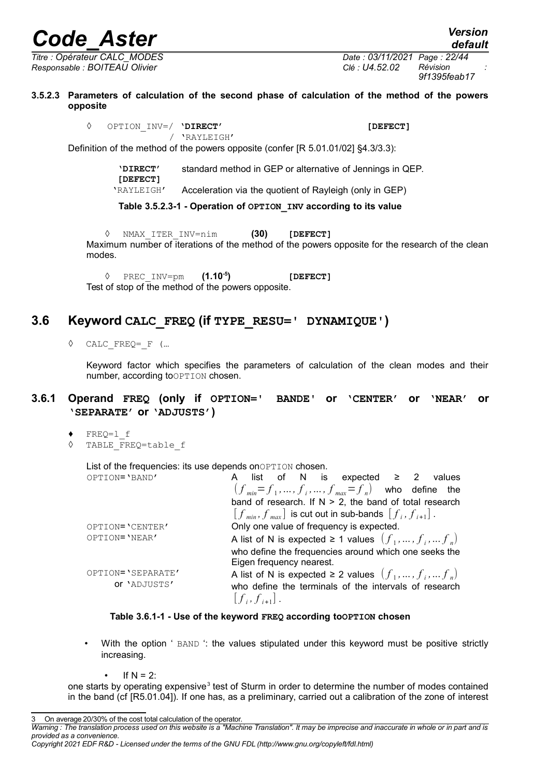*Responsable : BOITEAU Olivier Clé : U4.52.02 Révision :*

*Titre : Opérateur CALC\_MODES Date : 03/11/2021 Page : 22/44 9f1395feab17*

*default*

**3.5.2.3 Parameters of calculation of the second phase of calculation of the method of the powers opposite**

> <span id="page-21-2"></span>◊ OPTION\_INV=/ **'DIRECT' [DEFECT]** / 'RAYLEIGH'

Definition of the method of the powers opposite (confer [R 5.01.01/02] §4.3/3.3):

**'DIRECT' [DEFECT]** standard method in GEP or alternative of Jennings in QEP.

'RAYLEIGH' Acceleration via the quotient of Rayleigh (only in GEP)

**Table 3.5.2.3-1 - Operation of OPTION\_INV according to its value**

◊ NMAX\_ITER\_INV=nim **(30) [DEFECT]** Maximum number of iterations of the method of the powers opposite for the research of the clean modes.

◊ PREC\_INV=pm **(1.10-5) [DEFECT]** Test of stop of the method of the powers opposite.

### **3.6 Keyword CALC\_FREQ (if TYPE\_RESU=' DYNAMIQUE')**

<span id="page-21-1"></span>◊ CALC\_FREQ=\_F (…

<span id="page-21-0"></span>Keyword factor which specifies the parameters of calculation of the clean modes and their number, according to OPTION chosen.

#### **3.6.1 Operand FREQ (only if OPTION=' BANDE' or 'CENTER' or 'NEAR' or 'SEPARATE' or 'ADJUSTS')**

- *♦* FREQ=l\_f
- ◊ TABLE\_FREQ=table\_f

List of the frequencies: its use depends on OPTION chosen.

| OPTION='BAND'     | list of N is expected $\geq$ 2 values                                             |
|-------------------|-----------------------------------------------------------------------------------|
|                   | $(f_{min}=f_1,\ldots,f_i,\ldots,f_{max}=f_n)$ who define the                      |
|                   | band of research. If $N > 2$ , the band of total research                         |
|                   | $[f_{min}, f_{max}]$ is cut out in sub-bands $[f_i, f_{i+1}]$ .                   |
| OPTION='CENTER'   | Only one value of frequency is expected.                                          |
| OPTION='NEAR'     | A list of N is expected $\geq 1$ values $(f_1, , f_i, , f_n)$                     |
|                   | who define the frequencies around which one seeks the<br>Eigen frequency nearest. |
| OPTION='SEPARATE' | A list of N is expected $\geq 2$ values $(f_1, , f_i, , f_n)$                     |
|                   |                                                                                   |
| OF 'ADJUSTS'      | who define the terminals of the intervals of research<br>$[f_i, f_{i+1}]$ .       |

#### **Table 3.6.1-1 - Use of the keyword FREQ according toOPTION chosen**

- With the option ' BAND ': the values stipulated under this keyword must be positive strictly increasing.
	- If  $N = 2$ :

one starts by operating expensive<sup>[3](#page-21-3)</sup> test of Sturm in order to determine the number of modes contained in the band (cf [R5.01.04]). If one has, as a preliminary, carried out a calibration of the zone of interest

<span id="page-21-3"></span>On average 20/30% of the cost total calculation of the operator.

*Warning : The translation process used on this website is a "Machine Translation". It may be imprecise and inaccurate in whole or in part and is provided as a convenience.*

*Copyright 2021 EDF R&D - Licensed under the terms of the GNU FDL (http://www.gnu.org/copyleft/fdl.html)*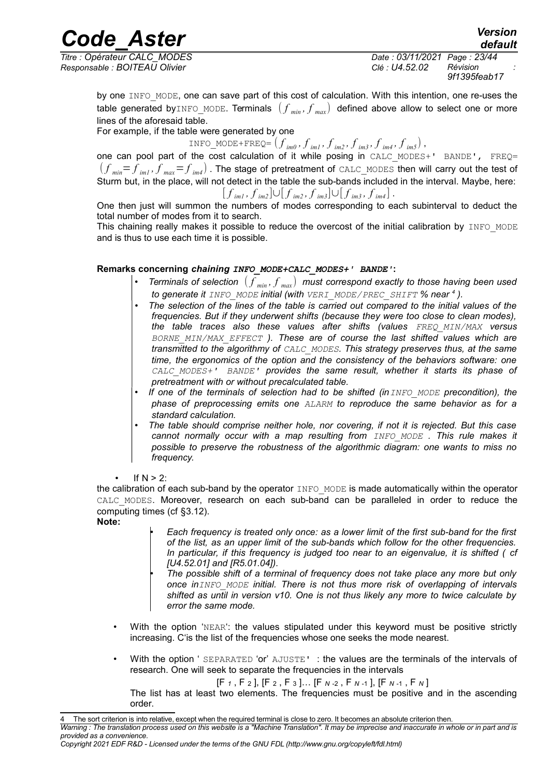## *Code\_Aster Version*<br>*Code\_Aster CALC MODES Date* : 03/11/2021 Page : 23/44

*Titre : Opérateur CALC\_MODES Date : 03/11/2021 Page : 23/44 Responsable : BOITEAU Olivier Clé : U4.52.02 Révision :*

*default 9f1395feab17*

by one INFO\_MODE, one can save part of this cost of calculation. With this intention, one re-uses the table generated by INFO\_MODE. Terminals  $(f_{min}, f_{max})$  defined above allow to select one or more lines of the aforesaid table.

For example, if the table were generated by one

INFO\_MODE+FREQ=  $(f_{im0}, f_{im1}, f_{im2}, f_{im3}, f_{im4}, f_{im5})$ , one can pool part of the cost calculation of it while posing in CALC MODES+' BANDE', FREQ=  $(f_{\scriptscriptstyle min} \! = \! f_{\scriptscriptstyle im1}, f_{\scriptscriptstyle max} \! = \! f_{\scriptscriptstyle im4})$  . The stage of pretreatment of <code>CALC\_MODES</code> then will carry out the test of Sturm but, in the place, will not detect in the table the sub-bands included in the interval. Maybe, here:  $[f]_{im1}, f]_{im2}$ ]∪ $[f]_{im2}, f]_{im3}$ ]∪ $[f]_{im3}, f]_{im4}$ ].

One then just will summon the numbers of modes corresponding to each subinterval to deduct the total number of modes from it to search.

This chaining really makes it possible to reduce the overcost of the initial calibration by INFO\_MODE and is thus to use each time it is possible.

#### **Remarks concerning** *chaining INFO\_MODE+CALC\_MODES+' BANDE'***:**

- *Terminals of selection* ( *f min , f max* ) *must correspond exactly to those having been used to generate it INFO\_MODE initial (with VERI\_MODE/PREC\_SHIFT % near [4](#page-22-0) ).*
- *The selection of the lines of the table is carried out compared to the initial values of the frequencies. But if they underwent shifts (because they were too close to clean modes), the table traces also these values after shifts (values FREQ\_MIN/MAX versus BORNE\_MIN/MAX\_EFFECT ). These are of course the last shifted values which are transmitted to the algorithmy of CALC\_MODES. This strategy preserves thus, at the same time, the ergonomics of the option and the consistency of the behaviors software: one CALC\_MODES+' BANDE' provides the same result, whether it starts its phase of pretreatment with or without precalculated table.*
- *If one of the terminals of selection had to be shifted (inINFO\_MODE precondition), the phase of preprocessing emits one ALARM to reproduce the same behavior as for a standard calculation.*
- *The table should comprise neither hole, nor covering, if not it is rejected. But this case cannot normally occur with a map resulting from INFO\_MODE . This rule makes it possible to preserve the robustness of the algorithmic diagram: one wants to miss no frequency.*
- If  $N > 2$ :

the calibration of each sub-band by the operator INFO MODE is made automatically within the operator CALC MODES. Moreover, research on each sub-band can be paralleled in order to reduce the computing times (cf [§3.12\)](#page-30-0).

#### **Note:**

- *Each frequency is treated only once: as a lower limit of the first sub-band for the first of the list, as an upper limit of the sub-bands which follow for the other frequencies. In particular, if this frequency is judged too near to an eigenvalue, it is shifted ( cf [U4.52.01] and [R5.01.04]).*
- *The possible shift of a terminal of frequency does not take place any more but only once inINFO\_MODE initial. There is not thus more risk of overlapping of intervals shifted as until in version v10. One is not thus likely any more to twice calculate by error the same mode.*
- With the option 'NEAR': the values stipulated under this keyword must be positive strictly increasing. C'is the list of the frequencies whose one seeks the mode nearest.
- With the option ' SEPARATED 'or' AJUSTE' : the values are the terminals of the intervals of research. One will seek to separate the frequencies in the intervals

[F *<sup>1</sup>* , F <sup>2</sup> ], [F <sup>2</sup> , F <sup>3</sup> ]… [F *<sup>N</sup>* -2 , F *<sup>N</sup>* -1 ], [F *<sup>N</sup>* -1 , F *<sup>N</sup>* ]

The list has at least two elements. The frequencies must be positive and in the ascending order.

<span id="page-22-0"></span>The sort criterion is into relative, except when the required terminal is close to zero. It becomes an absolute criterion then.

*Warning : The translation process used on this website is a "Machine Translation". It may be imprecise and inaccurate in whole or in part and is provided as a convenience.*

*Copyright 2021 EDF R&D - Licensed under the terms of the GNU FDL (http://www.gnu.org/copyleft/fdl.html)*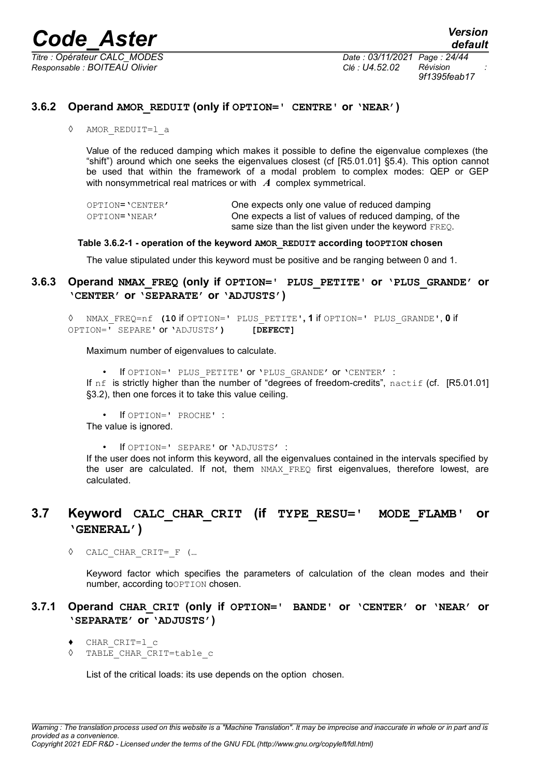*Responsable : BOITEAU Olivier Clé : U4.52.02 Révision : 9f1395feab17*

#### **3.6.2 Operand AMOR\_REDUIT (only if OPTION=' CENTRE' or 'NEAR')**

<span id="page-23-3"></span>*◊* AMOR\_REDUIT=l\_a

Value of the reduced damping which makes it possible to define the eigenvalue complexes (the "shift") around which one seeks the eigenvalues closest (cf [R5.01.01] §5.4). This option cannot be used that within the framework of a modal problem to complex modes: QEP or GEP with nonsymmetrical real matrices or with *A* complex symmetrical.

| OPTION='CENTER' | One expects only one value of reduced damping           |
|-----------------|---------------------------------------------------------|
| OPTION='NEAR'   | One expects a list of values of reduced damping, of the |
|                 | same size than the list given under the keyword FREQ.   |

#### **Table 3.6.2-1 - operation of the keyword AMOR\_REDUIT according toOPTION chosen**

<span id="page-23-2"></span>The value stipulated under this keyword must be positive and be ranging between 0 and 1.

#### **3.6.3 Operand NMAX\_FREQ (only if OPTION=' PLUS\_PETITE' or 'PLUS\_GRANDE' or 'CENTER' or 'SEPARATE' or 'ADJUSTS')**

◊ NMAX\_FREQ=nf **(10** if OPTION=' PLUS\_PETITE'**, 1** if OPTION=' PLUS\_GRANDE', **0** if OPTION=' SEPARE' or 'ADJUSTS'**) [DEFECT]**

Maximum number of eigenvalues to calculate.

• If OPTION=' PLUS\_PETITE' or 'PLUS\_GRANDE' or 'CENTER' :

If  $nf$  is strictly higher than the number of "degrees of freedom-credits", nactif (cf. [R5.01.01] §3.2), then one forces it to take this value ceiling.

• If OPTION=' PROCHE' : The value is ignored.

• If OPTION=' SEPARE' or 'ADJUSTS' :

If the user does not inform this keyword, all the eigenvalues contained in the intervals specified by the user are calculated. If not, them NMAX FREQ first eigenvalues, therefore lowest, are calculated.

### <span id="page-23-1"></span>**3.7 Keyword CALC\_CHAR\_CRIT (if TYPE\_RESU=' MODE\_FLAMB' or 'GENERAL')**

◊ CALC\_CHAR\_CRIT=\_F (…

<span id="page-23-0"></span>Keyword factor which specifies the parameters of calculation of the clean modes and their number, according to OPTION chosen.

#### **3.7.1 Operand CHAR\_CRIT (only if OPTION=' BANDE' or 'CENTER' or 'NEAR' or 'SEPARATE' or 'ADJUSTS')**

- *♦* CHAR\_CRIT=l\_c
- ◊ TABLE\_CHAR\_CRIT=table\_c

List of the critical loads: its use depends on the option chosen.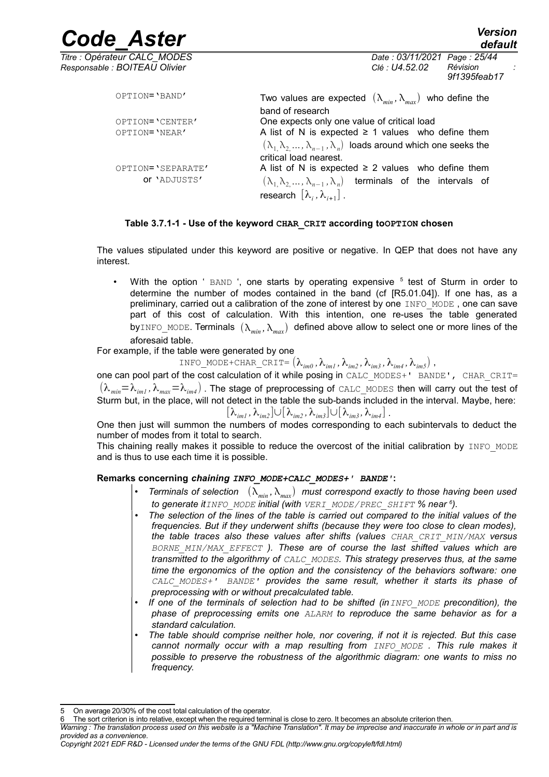| <b>Code Aster</b>                                             | <b>Version</b><br>default                                                                                                                                                  |
|---------------------------------------------------------------|----------------------------------------------------------------------------------------------------------------------------------------------------------------------------|
| Titre : Opérateur CALC_MODES<br>Responsable : BOITEAU Olivier | Date: 03/11/2021 Page: 25/44<br>Révision<br>Clé : U4.52.02<br>9f1395feab17                                                                                                 |
| OPTION='BAND'                                                 | Two values are expected $(\lambda_{min}, \lambda_{max})$ who define the<br>band of research                                                                                |
| OPTION='CENTER'                                               | One expects only one value of critical load                                                                                                                                |
| OPTION='NEAR'                                                 | A list of N is expected $\geq$ 1 values who define them<br>$(\lambda_1, \lambda_2, , \lambda_{n-1}, \lambda_n)$ loads around which one seeks the<br>critical load nearest. |
| OPTION='SEPARATE'                                             | A list of N is expected $\geq$ 2 values who define them                                                                                                                    |
| OF 'ADJUSTS'                                                  | $(\lambda_1, \lambda_2, , \lambda_{n-1}, \lambda_n)$ terminals of the intervals of<br>research $[\lambda_i, \lambda_{i+1}]$ .                                              |

#### **Table 3.7.1-1 - Use of the keyword CHAR\_CRIT according toOPTION chosen**

The values stipulated under this keyword are positive or negative. In QEP that does not have any interest.

• With the option ' BAND ', one starts by operating expensive <sup>[5](#page-24-0)</sup> test of Sturm in order to determine the number of modes contained in the band (cf [R5.01.04]). If one has, as a preliminary, carried out a calibration of the zone of interest by one INFO\_MODE, one can save part of this cost of calculation. With this intention, one re-uses the table generated byINFO\_MODE. Terminals  $(\lambda_{min}, \lambda_{max})$  defined above allow to select one or more lines of the aforesaid table.

For example, if the table were generated by one

INFO\_MODE+CHAR\_CRIT=  $(\lambda_{im0}, \lambda_{im1}, \lambda_{im2}, \lambda_{im3}, \lambda_{im4}, \lambda_{im5})$ ,

one can pool part of the cost calculation of it while posing in CALC\_MODES+' BANDE', CHAR\_CRIT=  $(\lambda_{min}=\lambda_{im1},\lambda_{max}=\lambda_{im4})$ . The stage of preprocessing of CALC\_MODES then will carry out the test of Sturm but, in the place, will not detect in the table the sub-bands included in the interval. Maybe, here:  $[\lambda_{im}, \lambda_{im2}] \cup [\lambda_{im2}, \lambda_{im3}] \cup [\lambda_{im3}, \lambda_{im4}]$ .

One then just will summon the numbers of modes corresponding to each subintervals to deduct the number of modes from it total to search.

This chaining really makes it possible to reduce the overcost of the initial calibration by INFO\_MODE and is thus to use each time it is possible.

#### **Remarks concerning** *chaining INFO\_MODE+CALC\_MODES+' BANDE'***:**

- *Terminals of selection*  $(\lambda_{min}, \lambda_{max})$  *must correspond exactly to those having been used to generate itINFO\_MODE initial (with VERI\_MODE/PREC\_SHIFT % near [6](#page-24-1) ).*
- *The selection of the lines of the table is carried out compared to the initial values of the frequencies. But if they underwent shifts (because they were too close to clean modes), the table traces also these values after shifts (values CHAR\_CRIT\_MIN/MAX versus BORNE\_MIN/MAX\_EFFECT ). These are of course the last shifted values which are transmitted to the algorithmy of CALC\_MODES. This strategy preserves thus, at the same time the ergonomics of the option and the consistency of the behaviors software: one CALC\_MODES+' BANDE' provides the same result, whether it starts its phase of preprocessing with or without precalculated table.*
- *If one of the terminals of selection had to be shifted (inINFO\_MODE precondition), the phase of preprocessing emits one ALARM to reproduce the same behavior as for a standard calculation.*
- *The table should comprise neither hole, nor covering, if not it is rejected. But this case cannot normally occur with a map resulting from INFO\_MODE . This rule makes it possible to preserve the robustness of the algorithmic diagram: one wants to miss no frequency.*

*Copyright 2021 EDF R&D - Licensed under the terms of the GNU FDL (http://www.gnu.org/copyleft/fdl.html)*

<span id="page-24-0"></span><sup>5</sup> On average 20/30% of the cost total calculation of the operator.

<span id="page-24-1"></span>The sort criterion is into relative, except when the required terminal is close to zero. It becomes an absolute criterion then.

*Warning : The translation process used on this website is a "Machine Translation". It may be imprecise and inaccurate in whole or in part and is provided as a convenience.*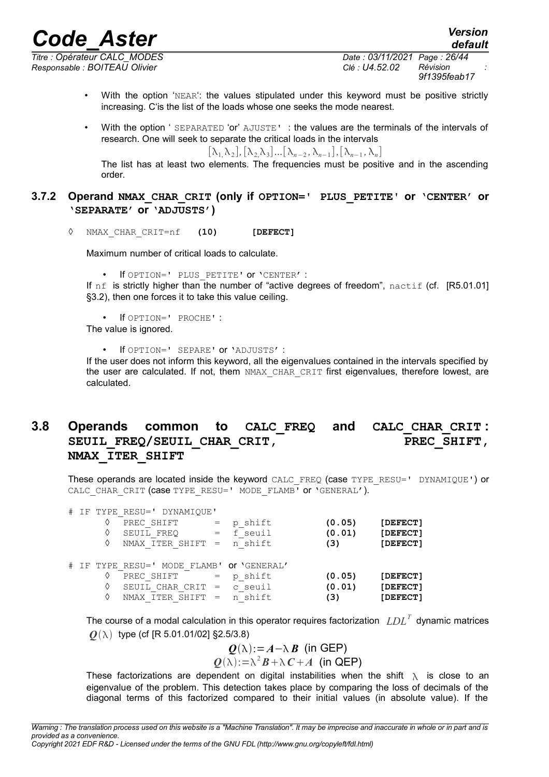*Responsable : BOITEAU Olivier Clé : U4.52.02 Révision :*

*Titre : Opérateur CALC\_MODES Date : 03/11/2021 Page : 26/44 9f1395feab17*

*default*

- With the option 'NEAR': the values stipulated under this keyword must be positive strictly increasing. C'is the list of the loads whose one seeks the mode nearest.
- With the option ' SEPARATED 'or' AJUSTE' : the values are the terminals of the intervals of research. One will seek to separate the critical loads in the intervals

 $[\lambda_1, \lambda_2], [\lambda_2, \lambda_3] \dots [\lambda_{n-2}, \lambda_{n-1}], [\lambda_{n-1}, \lambda_n]$ 

The list has at least two elements. The frequencies must be positive and in the ascending order.

#### <span id="page-25-1"></span>**3.7.2 Operand NMAX\_CHAR\_CRIT (only if OPTION=' PLUS\_PETITE' or 'CENTER' or 'SEPARATE' or 'ADJUSTS')**

◊ NMAX\_CHAR\_CRIT=nf **(10) [DEFECT]**

Maximum number of critical loads to calculate.

• If OPTION=' PLUS\_PETITE' or 'CENTER' :

If nf is strictly higher than the number of "active degrees of freedom", nactif (cf. [R5.01.01] §3.2), then one forces it to take this value ceiling.

• If OPTION=' PROCHE' :

The value is ignored.

• If OPTION=' SEPARE' or 'ADJUSTS' :

If the user does not inform this keyword, all the eigenvalues contained in the intervals specified by the user are calculated. If not, them NMAX CHAR CRIT first eigenvalues, therefore lowest, are calculated.

#### <span id="page-25-0"></span>**3.8 Operands common to CALC\_FREQ and CALC\_CHAR\_CRIT :** SEUIL FREQ/SEUIL CHAR CRIT, PREC SHIFT, **NMAX\_ITER\_SHIFT**

These operands are located inside the keyword CALC\_FREQ (case TYPE\_RESU=' DYNAMIQUE') or CALC\_CHAR\_CRIT (case TYPE\_RESU=' MODE\_FLAMB' or 'GENERAL').

|  |   | # IF TYPE RESU=' DYNAMIQUE'               |     |             |        |          |
|--|---|-------------------------------------------|-----|-------------|--------|----------|
|  | ♦ | PREC SHIFT                                |     | p shift     | (0.05) | [DEFECT] |
|  |   | SEUIL FREQ                                |     | $=$ f seuil | (0.01) | [DEFECT] |
|  | ♦ | NMAX ITER SHIFT =                         |     | n shift     | (3)    | [DEFECT] |
|  |   |                                           |     |             |        |          |
|  |   | # IF TYPE RESU=' MODE FLAMB' OT 'GENERAL' |     |             |        |          |
|  |   | PREC SHIFT                                | $=$ | p shift     | (0.05) | [DEFECT] |
|  | ♦ | SEUIL CHAR CRIT                           | $=$ | c seuil     | (0.01) | [DEFECT] |
|  |   | NMAX ITER SHIFT                           |     | n shift     | (3)    | [DEFECT] |
|  |   |                                           |     |             |        |          |

The course of a modal calculation in this operator requires factorization  $\ LDL^T$  dynamic matrices  $Q(\lambda)$  type (cf [R 5.01.01/02] §2.5/3.8)

$$
Q(\lambda) := A - \lambda B \text{ (in GEP)}
$$
  
 
$$
Q(\lambda) := \lambda^2 B + \lambda C + A \text{ (in GEP)}
$$

These factorizations are dependent on digital instabilities when the shift  $\lambda$  is close to an eigenvalue of the problem. This detection takes place by comparing the loss of decimals of the diagonal terms of this factorized compared to their initial values (in absolute value). If the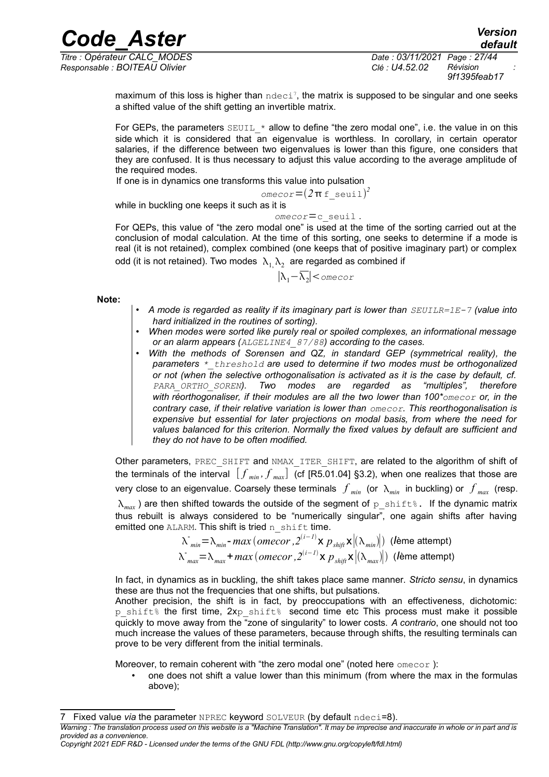*Titre : Opérateur CALC\_MODES Date : 03/11/2021 Page : 27/44 Responsable : BOITEAU Olivier Clé : U4.52.02 Révision :*

*9f1395feab17*

*default*

maximum of this loss is higher than  $\text{ndeci}^7$  $\text{ndeci}^7$ , the matrix is supposed to be singular and one seeks a shifted value of the shift getting an invertible matrix.

*Code\_Aster Version*

For GEPs, the parameters  $SEUIL *$  allow to define "the zero modal one", i.e. the value in on this side which it is considered that an eigenvalue is worthless. In corollary, in certain operator salaries, if the difference between two eigenvalues is lower than this figure, one considers that they are confused. It is thus necessary to adjust this value according to the average amplitude of the required modes.

If one is in dynamics one transforms this value into pulsation

 $1$ *omecor* =  $(2\pi f \text{ seuil})^2$ 

while in buckling one keeps it such as it is

*omecor*=c\_seuil .

For QEPs, this value of "the zero modal one" is used at the time of the sorting carried out at the conclusion of modal calculation. At the time of this sorting, one seeks to determine if a mode is real (it is not retained), complex combined (one keeps that of positive imaginary part) or complex odd (it is not retained). Two modes  $\ket{\lambda_1,\lambda_2}$  are regarded as combined if

$$
|\lambda_1 - \overline{\lambda_2}| < \text{onecor}
$$

**Note:**

- *A mode is regarded as reality if its imaginary part is lower than SEUILR=1E-7 (value into hard initialized in the routines of sorting).*
- *When modes were sorted like purely real or spoiled complexes, an informational message or an alarm appears (ALGELINE4\_87/88) according to the cases.*
- *With the methods of Sorensen and QZ, in standard GEP (symmetrical reality), the parameters \*\_threshold are used to determine if two modes must be orthogonalized or not (when the selective orthogonalisation is activated as it is the case by default, cf. PARA\_ORTHO\_SOREN). Two modes are regarded as "multiples", therefore with réorthogonaliser, if their modules are all the two lower than 100\*omecor or, in the contrary case, if their relative variation is lower than omecor. This reorthogonalisation is expensive but essential for later projections on modal basis, from where the need for values balanced for this criterion. Normally the fixed values by default are sufficient and they do not have to be often modified.*

Other parameters, PREC\_SHIFT and NMAX\_ITER\_SHIFT, are related to the algorithm of shift of the terminals of the interval  $[f_{min}, f_{max}]$  (cf [R5.01.04] §3.2), when one realizes that those are very close to an eigenvalue. Coarsely these terminals  $f_{min}$  (or  $\lambda_{min}$  in buckling) or  $f_{max}$  (resp.  $\lambda_{max}$ ) are then shifted towards the outside of the segment of p\_shift%. If the dynamic matrix thus rebuilt is always considered to be "numerically singular", one again shifts after having emitted one ALARM. This shift is tried  $n$  shift time.

$$
\lambda_{min} = \lambda_{min} - max (omecor, 2^{(i-1)} \times p_{shift} \times |(\lambda_{min})|)
$$
 (lème attempt)  

$$
\lambda_{max} = \lambda_{max} + max (omecor, 2^{(i-1)} \times p_{shift} \times |(\lambda_{max})|)
$$
 (lème attempt)

In fact, in dynamics as in buckling, the shift takes place same manner. *Stricto sensu*, in dynamics these are thus not the frequencies that one shifts, but pulsations.

Another precision, the shift is in fact, by preoccupations with an effectiveness, dichotomic: p shift% the first time, 2xp shift% second time etc This process must make it possible quickly to move away from the "zone of singularity" to lower costs. *A contrario*, one should not too much increase the values of these parameters, because through shifts, the resulting terminals can prove to be very different from the initial terminals.

Moreover, to remain coherent with "the zero modal one" (noted here  $\omega$  ):

• one does not shift a value lower than this minimum (from where the max in the formulas above);

<span id="page-26-0"></span>Fixed value *via* the parameter NPREC keyword SOLVEUR (by default ndeci=8).

*Warning : The translation process used on this website is a "Machine Translation". It may be imprecise and inaccurate in whole or in part and is provided as a convenience.*

*Copyright 2021 EDF R&D - Licensed under the terms of the GNU FDL (http://www.gnu.org/copyleft/fdl.html)*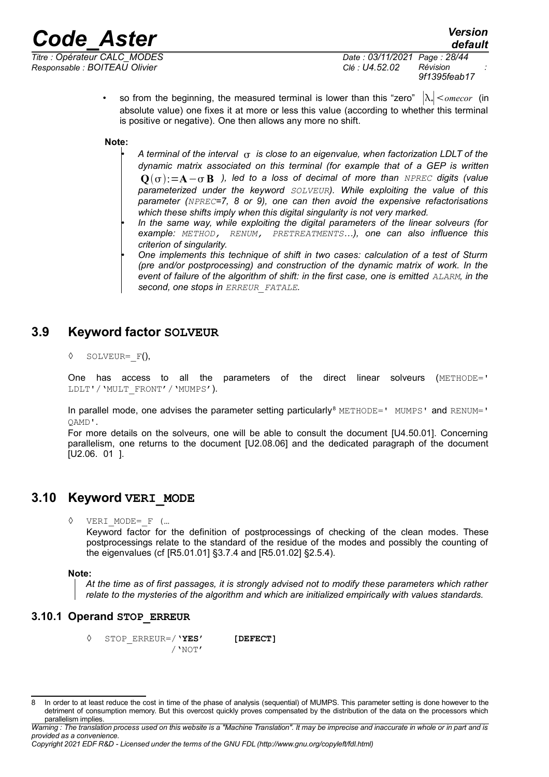*Responsable : BOITEAU Olivier Clé : U4.52.02 Révision :*

*Titre : Opérateur CALC\_MODES Date : 03/11/2021 Page : 28/44 9f1395feab17*

> • so from the beginning, the measured terminal is lower than this "zero" ∣\*∣*omecor* (in absolute value) one fixes it at more or less this value (according to whether this terminal is positive or negative). One then allows any more no shift.

**Note:**

• *A terminal of the interval is close to an eigenvalue, when factorization LDLT of the dynamic matrix associated on this terminal (for example that of a GEP is written* **Q**:=**A**− **B** *), led to a loss of decimal of more than NPREC digits (value parameterized under the keyword SOLVEUR). While exploiting the value of this parameter (NPREC=7, 8 or 9), one can then avoid the expensive refactorisations which these shifts imply when this digital singularity is not very marked.*

• *One implements this technique of shift in two cases: calculation of a test of Sturm (pre and/or postprocessing) and construction of the dynamic matrix of work. In the event of failure of the algorithm of shift: in the first case, one is emitted ALARM, in the second, one stops in ERREUR\_FATALE.*

## **3.9 Keyword factor SOLVEUR**

<span id="page-27-2"></span> $\Diamond$  SOLVEUR= F(),

One has access to all the parameters of the direct linear solveurs (METHODE=' LDLT'/'MULT\_FRONT'/'MUMPS').

In parallel mode, one advises the parameter setting particularly<sup>[8](#page-27-3)</sup> METHODE=' MUMPS' and RENUM=' QAMD'.

For more details on the solveurs, one will be able to consult the document [U4.50.01]. Concerning parallelism, one returns to the document [U2.08.06] and the dedicated paragraph of the document [U2.06. 01 ].

### **3.10 Keyword VERI\_MODE**

<span id="page-27-1"></span>◊ VERI\_MODE=\_F (…

Keyword factor for the definition of postprocessings of checking of the clean modes. These postprocessings relate to the standard of the residue of the modes and possibly the counting of the eigenvalues (cf [R5.01.01] §3.7.4 and [R5.01.02] §2.5.4).

#### **Note:**

*At the time as of first passages, it is strongly advised not to modify these parameters which rather relate to the mysteries of the algorithm and which are initialized empirically with values standards.*

#### **3.10.1 Operand STOP\_ERREUR**

<span id="page-27-0"></span>◊ STOP\_ERREUR=/**'YES' [DEFECT]** /'NOT'

<sup>•</sup> *In the same way, while exploiting the digital parameters of the linear solveurs (for example: METHOD, RENUM, PRETREATMENTS…), one can also influence this criterion of singularity.*

<span id="page-27-3"></span><sup>8</sup> In order to at least reduce the cost in time of the phase of analysis (sequential) of MUMPS. This parameter setting is done however to the detriment of consumption memory. But this overcost quickly proves compensated by the distribution of the data on the processors which parallelism implies.

*Warning : The translation process used on this website is a "Machine Translation". It may be imprecise and inaccurate in whole or in part and is provided as a convenience.*

*Copyright 2021 EDF R&D - Licensed under the terms of the GNU FDL (http://www.gnu.org/copyleft/fdl.html)*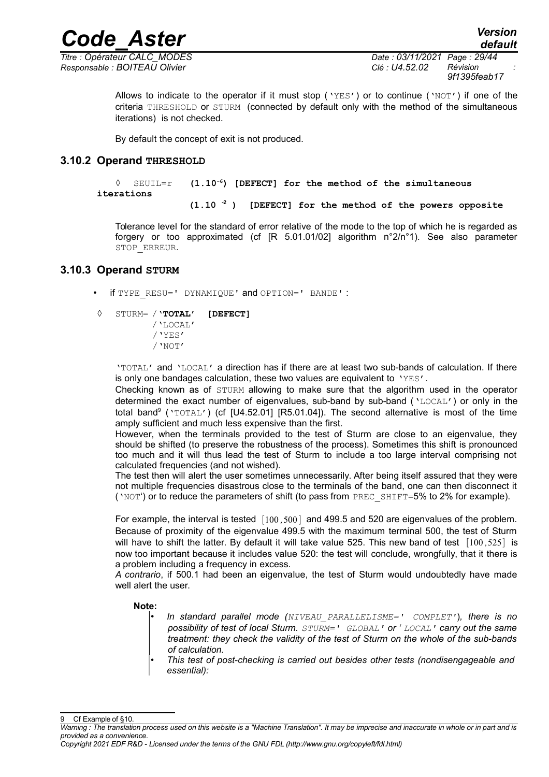*Titre : Opérateur CALC\_MODES Date : 03/11/2021 Page : 29/44 Responsable : BOITEAU Olivier Clé : U4.52.02 Révision :*

*9f1395feab17*

*default*

Allows to indicate to the operator if it must stop ( $YES'$ ) or to continue ( $YNOT'$ ) if one of the criteria THRESHOLD or STURM (connected by default only with the method of the simultaneous iterations) is not checked.

By default the concept of exit is not produced.

#### **3.10.2 Operand THRESHOLD**

<span id="page-28-1"></span>◊ SEUIL=r **(1.10-6) [DEFECT] for the method of the simultaneous iterations**

*Code\_Aster Version*

**(1.10 -2 ) [DEFECT] for the method of the powers opposite**

Tolerance level for the standard of error relative of the mode to the top of which he is regarded as forgery or too approximated (cf [R 5.01.01/02] algorithm n°2/n°1). See also parameter STOP\_ERREUR.

#### **3.10.3 Operand STURM**

- <span id="page-28-0"></span>• if TYPE\_RESU=' DYNAMIQUE' and OPTION=' BANDE' :
- ◊ STURM= /**'TOTAL' [DEFECT]**
	- /'LOCAL' /'YES' /'NOT'

'TOTAL' and 'LOCAL' a direction has if there are at least two sub-bands of calculation. If there is only one bandages calculation, these two values are equivalent to 'YES'.

Checking known as of STURM allowing to make sure that the algorithm used in the operator determined the exact number of eigenvalues, sub-band by sub-band ('LOCAL') or only in the total band<sup>[9](#page-28-2)</sup> ('TOTAL') (cf [U4.52.01] [R5.01.04]). The second alternative is most of the time amply sufficient and much less expensive than the first.

However, when the terminals provided to the test of Sturm are close to an eigenvalue, they should be shifted (to preserve the robustness of the process). Sometimes this shift is pronounced too much and it will thus lead the test of Sturm to include a too large interval comprising not calculated frequencies (and not wished).

The test then will alert the user sometimes unnecessarily. After being itself assured that they were not multiple frequencies disastrous close to the terminals of the band, one can then disconnect it ('NOT') or to reduce the parameters of shift (to pass from PREC\_SHIFT=5% to 2% for example).

For example, the interval is tested [100,500] and 499.5 and 520 are eigenvalues of the problem. Because of proximity of the eigenvalue 499.5 with the maximum terminal 500, the test of Sturm will have to shift the latter. By default it will take value 525. This new band of test [100 *,*525] is now too important because it includes value 520: the test will conclude, wrongfully, that it there is a problem including a frequency in excess.

*A contrario*, if 500.1 had been an eigenvalue, the test of Sturm would undoubtedly have made well alert the user.

#### **Note:**

- *In standard parallel mode (NIVEAU\_PARALLELISME=' COMPLET'*)*, there is no possibility of test of local Sturm. STURM=' GLOBAL' or ' LOCAL' carry out the same treatment: they check the validity of the test of Sturm on the whole of the sub-bands of calculation.*
- *This test of post-checking is carried out besides other tests (nondisengageable and essential):*

<span id="page-28-2"></span>Cf Example of [§10.](#page-41-5)

*Warning : The translation process used on this website is a "Machine Translation". It may be imprecise and inaccurate in whole or in part and is provided as a convenience.*

*Copyright 2021 EDF R&D - Licensed under the terms of the GNU FDL (http://www.gnu.org/copyleft/fdl.html)*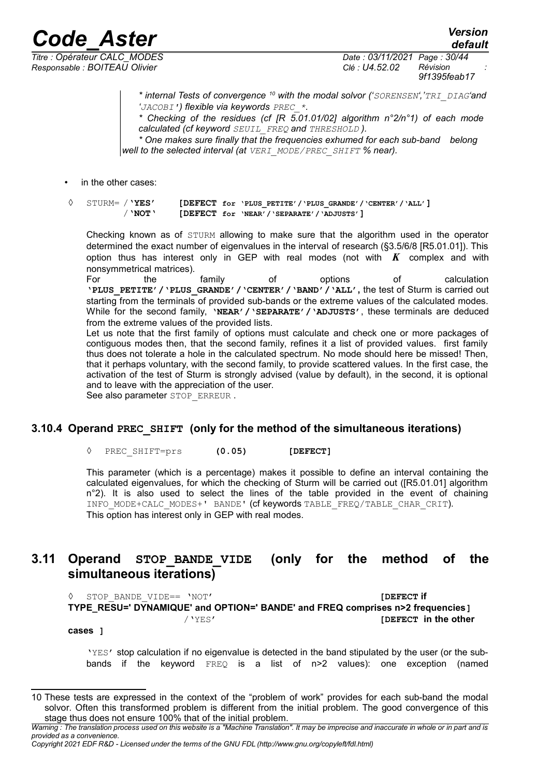*Responsable : BOITEAU Olivier Clé : U4.52.02 Révision :*

*Titre : Opérateur CALC\_MODES Date : 03/11/2021 Page : 30/44 9f1395feab17*

*default*

*\* internal Tests of convergence [10](#page-29-2) with the modal solvor ('SORENSEN','TRI\_DIAG'and 'JACOBI') flexible via keywords PREC\_\*.*

*\* Checking of the residues (cf [R 5.01.01/02] algorithm n°2/n°1) of each mode calculated (cf keyword SEUIL\_FREQ and THRESHOLD ).*

*\* One makes sure finally that the frequencies exhumed for each sub-band belong well to the selected interval (at VERI\_MODE/PREC\_SHIFT % near).*

in the other cases:

◊ STURM= /**'YES' [DEFECT for 'PLUS\_PETITE'/'PLUS\_GRANDE'/'CENTER'/'ALL']** /'**NOT**' **[DEFECT for 'NEAR'/'SEPARATE'/'ADJUSTS']**

Checking known as of STURM allowing to make sure that the algorithm used in the operator determined the exact number of eigenvalues in the interval of research (§3.5/6/8 [R5.01.01]). This option thus has interest only in GEP with real modes (not with *K* complex and with nonsymmetrical matrices).

For the family of options of calculation **'PLUS\_PETITE'/'PLUS\_GRANDE'/'CENTER'/'BAND'/'ALL',** the test of Sturm is carried out starting from the terminals of provided sub-bands or the extreme values of the calculated modes. While for the second family, **'NEAR'/'SEPARATE'/'ADJUSTS'**, these terminals are deduced from the extreme values of the provided lists.

Let us note that the first family of options must calculate and check one or more packages of contiguous modes then, that the second family, refines it a list of provided values. first family thus does not tolerate a hole in the calculated spectrum. No mode should here be missed! Then, that it perhaps voluntary, with the second family, to provide scattered values. In the first case, the activation of the test of Sturm is strongly advised (value by default), in the second, it is optional and to leave with the appreciation of the user.

See also parameter STOP\_ERREUR .

#### **3.10.4 Operand PREC\_SHIFT (only for the method of the simultaneous iterations)**

<span id="page-29-1"></span>◊ PREC\_SHIFT=prs **(0.05) [DEFECT]**

This parameter (which is a percentage) makes it possible to define an interval containing the calculated eigenvalues, for which the checking of Sturm will be carried out ([R5.01.01] algorithm n°2). It is also used to select the lines of the table provided in the event of chaining INFO MODE+CALC MODES+' BANDE' (cf keywords TABLE\_FREQ/TABLE\_CHAR\_CRIT). This option has interest only in GEP with real modes.

### <span id="page-29-0"></span>**3.11 Operand STOP\_BANDE\_VIDE (only for the method of the simultaneous iterations)**

◊ STOP\_BANDE\_VIDE== 'NOT' **[DEFECT if TYPE\_RESU=' DYNAMIQUE' and OPTION=' BANDE' and FREQ comprises n>2 frequencies]** /'YES' **[DEFECT in the other** 

**cases ]**

'YES' stop calculation if no eigenvalue is detected in the band stipulated by the user (or the subbands if the keyword FREQ is a list of n>2 values): one exception (named

<span id="page-29-2"></span><sup>10</sup> These tests are expressed in the context of the "problem of work" provides for each sub-band the modal solvor. Often this transformed problem is different from the initial problem. The good convergence of this stage thus does not ensure 100% that of the initial problem.

*Warning : The translation process used on this website is a "Machine Translation". It may be imprecise and inaccurate in whole or in part and is provided as a convenience.*

*Copyright 2021 EDF R&D - Licensed under the terms of the GNU FDL (http://www.gnu.org/copyleft/fdl.html)*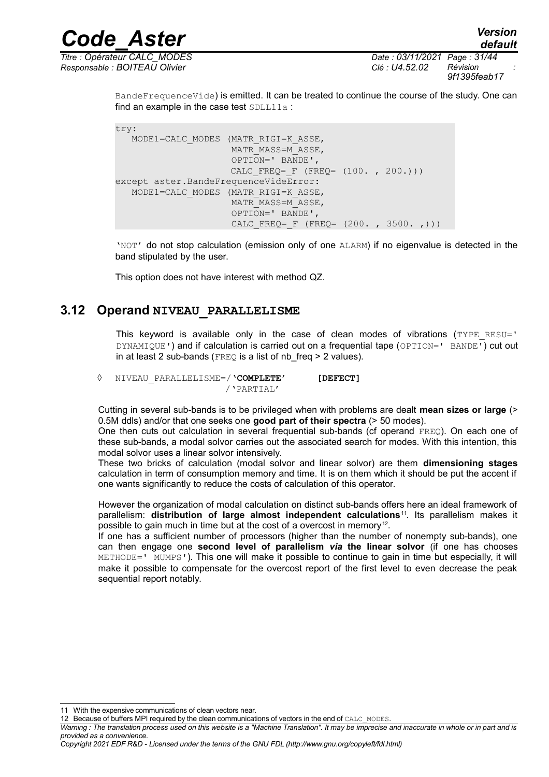*Titre : Opérateur CALC\_MODES Date : 03/11/2021 Page : 31/44 Responsable : BOITEAU Olivier Clé : U4.52.02 Révision :*

BandeFrequenceVide) is emitted. It can be treated to continue the course of the study. One can find an example in the case test  $SDLL11a$ :

*Code\_Aster Version*

try: MODE1=CALC\_MODES (MATR\_RIGI=K\_ASSE, MATR\_MASS=M\_ASSE, OPTION=' BANDE', CALC FREQ=  $F$  (FREQ= (100. , 200.))) except aster.BandeFrequenceVideError: MODE1=CALC\_MODES (MATR\_RIGI=K\_ASSE, MATR\_MASS=M\_ASSE, OPTION=' BANDE', CALC FREQ=  $F$  (FREQ= (200. , 3500. ,)))

'NOT' do not stop calculation (emission only of one ALARM) if no eigenvalue is detected in the band stipulated by the user.

This option does not have interest with method QZ.

#### **3.12 Operand NIVEAU\_PARALLELISME**

<span id="page-30-0"></span>This keyword is available only in the case of clean modes of vibrations  $(TYPE<sub>RESU</sub>='$ DYNAMIQUE') and if calculation is carried out on a frequential tape (OPTION=' BANDE') cut out in at least 2 sub-bands ( $FREQ$  is a list of nb freq  $> 2$  values).

◊ NIVEAU\_PARALLELISME=/**'COMPLETE' [DEFECT]** /'PARTIAL'

Cutting in several sub-bands is to be privileged when with problems are dealt **mean sizes or large** (> 0.5M ddls) and/or that one seeks one **good part of their spectra** (> 50 modes).

One then cuts out calculation in several frequential sub-bands (cf operand FREQ). On each one of these sub-bands, a modal solvor carries out the associated search for modes. With this intention, this modal solvor uses a linear solvor intensively.

These two bricks of calculation (modal solvor and linear solvor) are them **dimensioning stages** calculation in term of consumption memory and time. It is on them which it should be put the accent if one wants significantly to reduce the costs of calculation of this operator.

However the organization of modal calculation on distinct sub-bands offers here an ideal framework of parallelism: **distribution of large almost independent calculations**[11](#page-30-1). Its parallelism makes it possible to gain much in time but at the cost of a overcost in memory<sup>[12](#page-30-2)</sup>.

If one has a sufficient number of processors (higher than the number of nonempty sub-bands), one can then engage one **second level of parallelism** *via* **the linear solvor** (if one has chooses METHODE=' MUMPS'). This one will make it possible to continue to gain in time but especially, it will make it possible to compensate for the overcost report of the first level to even decrease the peak sequential report notably.

<span id="page-30-1"></span><sup>11</sup> With the expensive communications of clean vectors near.

<span id="page-30-2"></span><sup>12</sup> Because of buffers MPI required by the clean communications of vectors in the end of CALC\_MODES.

*Warning : The translation process used on this website is a "Machine Translation". It may be imprecise and inaccurate in whole or in part and is provided as a convenience.*

*Copyright 2021 EDF R&D - Licensed under the terms of the GNU FDL (http://www.gnu.org/copyleft/fdl.html)*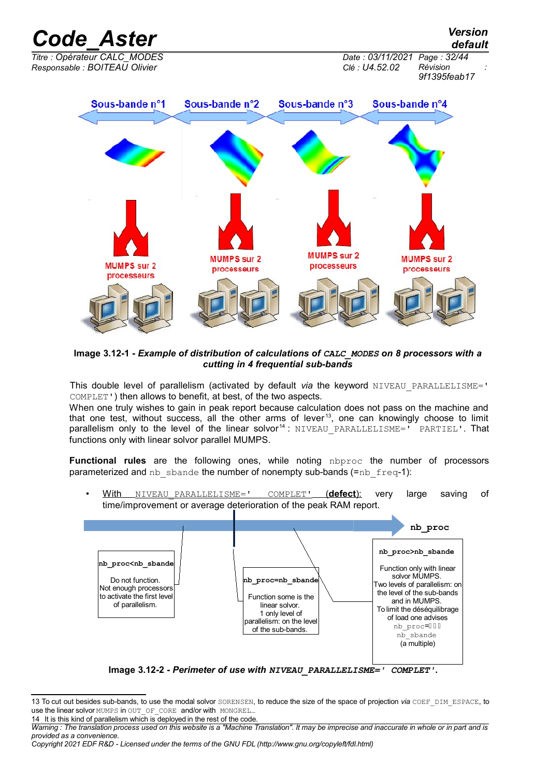

**Image 3.12-1 -** *Example of distribution of calculations of CALC\_MODES on 8 processors with a cutting in 4 frequential sub-bands*

This double level of parallelism (activated by default *via* the keyword NIVEAU PARALLELISME=' COMPLET') then allows to benefit, at best, of the two aspects.

When one truly wishes to gain in peak report because calculation does not pass on the machine and that one test, without success, all the other arms of lever<sup>[13](#page-31-0)</sup>, one can knowingly choose to limit parallelism only to the level of the linear solvor<sup>[14](#page-31-1)</sup>: NIVEAU PARALLELISME=' PARTIEL'. That functions only with linear solvor parallel MUMPS.

**Functional rules** are the following ones, while noting nbproc the number of processors parameterized and nb sbande the number of nonempty sub-bands (=nb  $freq-1$ ):

• With NIVEAU\_PARALLELISME=' COMPLET'( **defect**): very large saving of time/improvement or average deterioration of the peak RAM report.



**Image 3.12-2 -** *Perimeter of use with NIVEAU\_PARALLELISME=' COMPLET'***.**

<span id="page-31-1"></span>14 It is this kind of parallelism which is deployed in the rest of the code.

<span id="page-31-0"></span><sup>13</sup> To cut out besides sub-bands, to use the modal solvor SORENSEN, to reduce the size of the space of projection via COEF DIM ESPACE, to use the linear solvor MUMPS in OUT OF CORE and/or with MONGREL...

*Warning : The translation process used on this website is a "Machine Translation". It may be imprecise and inaccurate in whole or in part and is provided as a convenience.*

*Copyright 2021 EDF R&D - Licensed under the terms of the GNU FDL (http://www.gnu.org/copyleft/fdl.html)*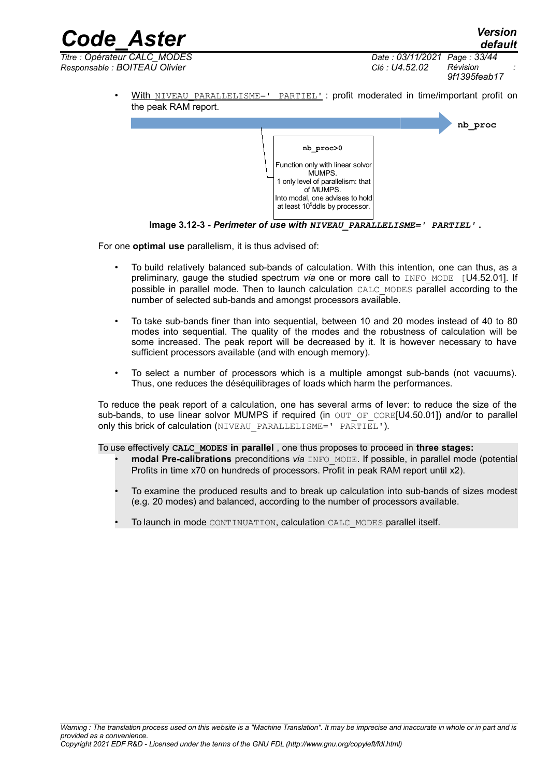*Code\_Aster Version default Titre : Opérateur CALC\_MODES Date : 03/11/2021 Page : 33/44 Responsable : BOITEAU Olivier Clé : U4.52.02 Révision : 9f1395feab17*

> With NIVEAU PARALLELISME=' PARTIEL' : profit moderated in time/important profit on the peak RAM report.



**Image 3.12-3 -** *Perimeter of use with NIVEAU\_PARALLELISME=' PARTIEL'* **.**

For one **optimal use** parallelism, it is thus advised of:

- To build relatively balanced sub-bands of calculation. With this intention, one can thus, as a preliminary, gauge the studied spectrum *via* one or more call to INFO MODE [U4.52.01]. If possible in parallel mode. Then to launch calculation CALC\_MODES parallel according to the number of selected sub-bands and amongst processors available.
- To take sub-bands finer than into sequential, between 10 and 20 modes instead of 40 to 80 modes into sequential. The quality of the modes and the robustness of calculation will be some increased. The peak report will be decreased by it. It is however necessary to have sufficient processors available (and with enough memory).
- To select a number of processors which is a multiple amongst sub-bands (not vacuums). Thus, one reduces the déséquilibrages of loads which harm the performances.

To reduce the peak report of a calculation, one has several arms of lever: to reduce the size of the sub-bands, to use linear solvor MUMPS if required (in OUT OF CORE[U4.50.01]) and/or to parallel only this brick of calculation (NIVEAU PARALLELISME=' PARTIEL').

To use effectively **CALC\_MODES in parallel** , one thus proposes to proceed in **three stages:**

- **modal Pre-calibrations** preconditions *via* INFO\_MODE. If possible, in parallel mode (potential Profits in time x70 on hundreds of processors. Profit in peak RAM report until x2).
- To examine the produced results and to break up calculation into sub-bands of sizes modest (e.g. 20 modes) and balanced, according to the number of processors available.
- To launch in mode CONTINUATION, calculation CALC\_MODES parallel itself.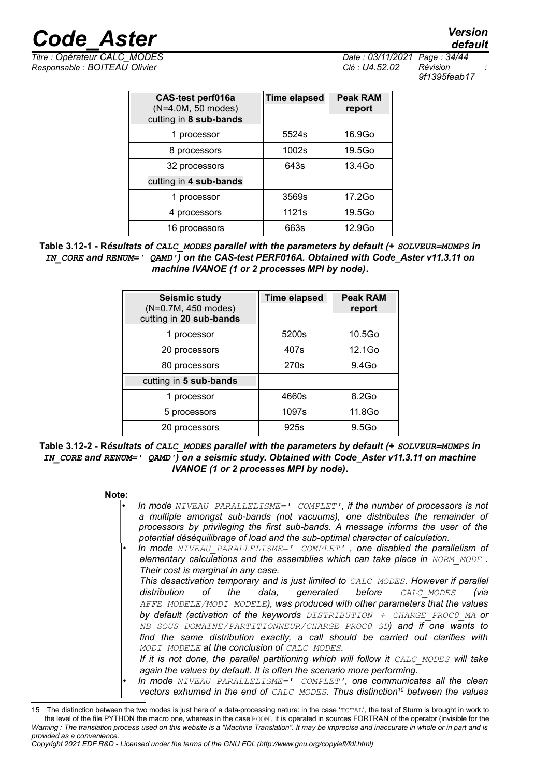*Responsable : BOITEAU Olivier Clé : U4.52.02 Révision :*

*Titre : Opérateur CALC\_MODES Date : 03/11/2021 Page : 34/44 9f1395feab17*

| CAS-test perf016a<br>(N=4.0M, 50 modes)<br>cutting in 8 sub-bands | <b>Time elapsed</b> | <b>Peak RAM</b><br>report |
|-------------------------------------------------------------------|---------------------|---------------------------|
| 1 processor                                                       | 5524 <sub>s</sub>   | 16.9Go                    |
| 8 processors                                                      | 1002s               | 19.5Go                    |
| 32 processors                                                     | 643s                | 13.4Go                    |
| cutting in 4 sub-bands                                            |                     |                           |
| 1 processor                                                       | 3569s               | 17.2Go                    |
| 4 processors                                                      | 1121s               | 19.5Go                    |
| 16 processors                                                     | 663s                | 12.9Go                    |

**Table 3.12-1 - R***ésultats of CALC\_MODES parallel with the parameters by default (+ SOLVEUR=MUMPS in IN\_CORE and RENUM=' QAMD') on the CAS-test PERF016A. Obtained with Code\_Aster v11.3.11 on machine IVANOE (1 or 2 processes MPI by node)***.**

| <b>Seismic study</b><br>(N=0.7M, 450 modes)<br>cutting in 20 sub-bands | <b>Time elapsed</b> | <b>Peak RAM</b><br>report |
|------------------------------------------------------------------------|---------------------|---------------------------|
| 1 processor                                                            | 5200s               | 10.5Go                    |
| 20 processors                                                          | 407s                | 12.1Go                    |
| 80 processors                                                          | 270s                | $9.4$ Go                  |
| cutting in 5 sub-bands                                                 |                     |                           |
| 1 processor                                                            | 4660s               | 8.2Go                     |
| 5 processors                                                           | 1097s               | 11.8Go                    |
| 20 processors                                                          | 925s                | 9.5G <sub>0</sub>         |

#### **Table 3.12-2 - R***ésultats of CALC\_MODES parallel with the parameters by default (+ SOLVEUR=MUMPS in IN\_CORE and RENUM=' QAMD') on a seismic study. Obtained with Code\_Aster v11.3.11 on machine IVANOE (1 or 2 processes MPI by node)***.**

**Note:**

• *In mode NIVEAU\_PARALLELISME=' COMPLET', if the number of processors is not a multiple amongst sub-bands (not vacuums), one distributes the remainder of processors by privileging the first sub-bands. A message informs the user of the potential déséquilibrage of load and the sub-optimal character of calculation.* • *In mode NIVEAU\_PARALLELISME=' COMPLET' , one disabled the parallelism of elementary calculations and the assemblies which can take place in NORM MODE**. Their cost is marginal in any case. This desactivation temporary and is just limited to CALC\_MODES. However if parallel distribution of the data, generated before CALC\_MODES (via AFFE\_MODELE/MODI\_MODELE), was produced with other parameters that the values by default (activation of the keywords DISTRIBUTION + CHARGE\_PROC0\_MA or NB\_SOUS\_DOMAINE/PARTITIONNEUR/CHARGE\_PROC0\_SD) and if one wants to find the same distribution exactly, a call should be carried out clarifies with MODI\_MODELE at the conclusion of CALC\_MODES. If it is not done, the parallel partitioning which will follow it CALC MODES will take again the values by default. It is often the scenario more performing.* • *In mode NIVEAU\_PARALLELISME=' COMPLET', one communicates all the clean vectors exhumed in the end of CALC\_MODES. Thus distinction[15](#page-33-0) between the values*

*default*

<span id="page-33-0"></span><sup>15</sup> The distinction between the two modes is just here of a data-processing nature: in the case 'TOTAL', the test of Sturm is brought in work to the level of the file PYTHON the macro one, whereas in the case'ROOM', it is operated in sources FORTRAN of the operator (invisible for the *Warning : The translation process used on this website is a "Machine Translation". It may be imprecise and inaccurate in whole or in part and is provided as a convenience.*

*Copyright 2021 EDF R&D - Licensed under the terms of the GNU FDL (http://www.gnu.org/copyleft/fdl.html)*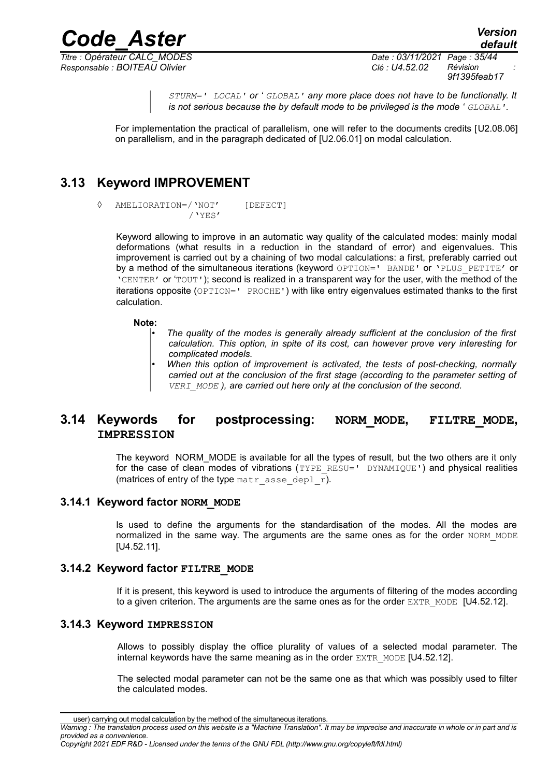*Code\_Aster Version Titre : Opérateur CALC\_MODES Date : 03/11/2021 Page : 35/44 Responsable : BOITEAU Olivier Clé : U4.52.02 Révision :*

*default*

*9f1395feab17*

*STURM=' LOCAL' or ' GLOBAL' any more place does not have to be functionally. It is not serious because the by default mode to be privileged is the mode ' GLOBAL'.*

For implementation the practical of parallelism, one will refer to the documents credits [U2.08.06] on parallelism, and in the paragraph dedicated of [U2.06.01] on modal calculation.

## **3.13 Keyword IMPROVEMENT**

<span id="page-34-4"></span>◊ AMELIORATION=/'NOT' [DEFECT] /'YES'

Keyword allowing to improve in an automatic way quality of the calculated modes: mainly modal deformations (what results in a reduction in the standard of error) and eigenvalues. This improvement is carried out by a chaining of two modal calculations: a first, preferably carried out by a method of the simultaneous iterations (keyword OPTION=' BANDE' or 'PLUS\_PETITE' or 'CENTER' or 'TOUT'); second is realized in a transparent way for the user, with the method of the iterations opposite (OPTION=' PROCHE') with like entry eigenvalues estimated thanks to the first calculation.

#### **Note:**

- *The quality of the modes is generally already sufficient at the conclusion of the first calculation. This option, in spite of its cost, can however prove very interesting for complicated models.*
- *When this option of improvement is activated, the tests of post-checking, normally carried out at the conclusion of the first stage (according to the parameter setting of VERI\_MODE ), are carried out here only at the conclusion of the second.*

#### <span id="page-34-3"></span>**3.14 Keywords for postprocessing: NORM\_MODE, FILTRE\_MODE, IMPRESSION**

The keyword NORM\_MODE is available for all the types of result, but the two others are it only for the case of clean modes of vibrations (TYPE\_RESU=' DYNAMIQUE') and physical realities (matrices of entry of the type matr asse depl  $\overline{r}$ ).

#### **3.14.1 Keyword factor NORM\_MODE**

<span id="page-34-2"></span>Is used to define the arguments for the standardisation of the modes. All the modes are normalized in the same way. The arguments are the same ones as for the order NORM\_MODE [U4.52.11].

#### **3.14.2 Keyword factor FILTRE\_MODE**

<span id="page-34-1"></span>If it is present, this keyword is used to introduce the arguments of filtering of the modes according to a given criterion. The arguments are the same ones as for the order EXTR\_MODE [U4.52.12].

#### **3.14.3 Keyword IMPRESSION**

<span id="page-34-0"></span>Allows to possibly display the office plurality of values of a selected modal parameter. The internal keywords have the same meaning as in the order  $EXTR$  MODE  $[U4.52.12]$ .

The selected modal parameter can not be the same one as that which was possibly used to filter the calculated modes.

user) carrying out modal calculation by the method of the simultaneous iterations.

*Warning : The translation process used on this website is a "Machine Translation". It may be imprecise and inaccurate in whole or in part and is provided as a convenience.*

*Copyright 2021 EDF R&D - Licensed under the terms of the GNU FDL (http://www.gnu.org/copyleft/fdl.html)*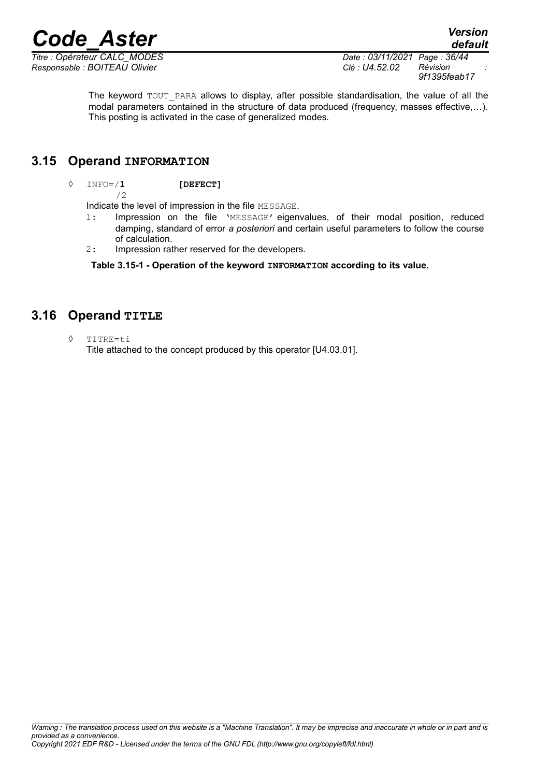*Responsable : BOITEAU Olivier Clé : U4.52.02 Révision :*

*Titre : Opérateur CALC\_MODES Date : 03/11/2021 Page : 36/44 9f1395feab17*

> The keyword TOUT PARA allows to display, after possible standardisation, the value of all the modal parameters contained in the structure of data produced (frequency, masses effective,…). This posting is activated in the case of generalized modes.

### **3.15 Operand INFORMATION**

<span id="page-35-1"></span>◊ INFO=/**1 [DEFECT]**

/2

Indicate the level of impression in the file MESSAGE.

- 1: Impression on the file 'MESSAGE' eigenvalues, of their modal position, reduced damping, standard of error *a posteriori* and certain useful parameters to follow the course of calculation.
- 2: Impression rather reserved for the developers.

**Table 3.15-1 - Operation of the keyword INFORMATION according to its value.**

## **3.16 Operand TITLE**

<span id="page-35-0"></span>◊ TITRE=ti

Title attached to the concept produced by this operator [U4.03.01].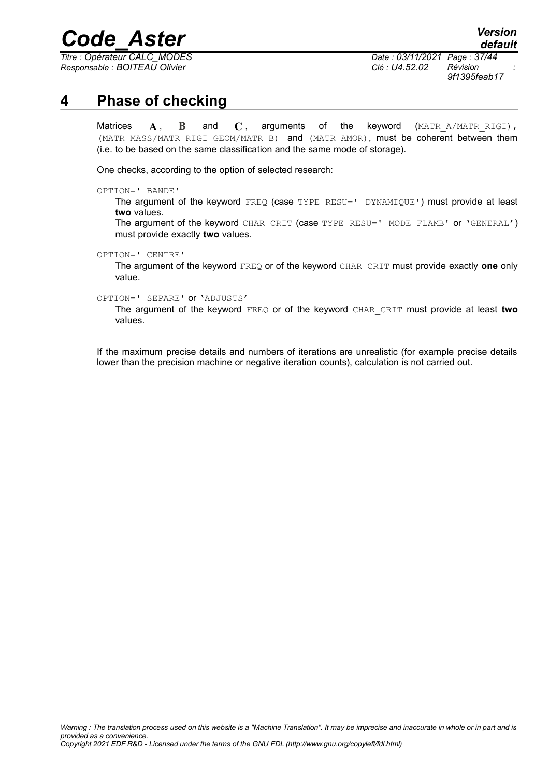*Titre : Opérateur CALC\_MODES Date : 03/11/2021 Page : 37/44 Responsable : BOITEAU Olivier Clé : U4.52.02 Révision :*

*9f1395feab17*

## **4 Phase of checking**

<span id="page-36-0"></span>Matrices  $\mathbf{A}$ ,  $\mathbf{B}$  and  $\mathbf{C}$ , arguments of the keyword (MATR A/MATR RIGI), (MATR\_MASS/MATR\_RIGI\_GEOM/MATR\_B) and (MATR\_AMOR), must be coherent between them (i.e. to be based on the same classification and the same mode of storage).

One checks, according to the option of selected research:

OPTION=' BANDE'

The argument of the keyword FREQ (case TYPE RESU=' DYNAMIQUE') must provide at least **two** values.

The argument of the keyword CHAR\_CRIT (case TYPE\_RESU=' MODE\_FLAMB' or 'GENERAL') must provide exactly **two** values.

OPTION=' CENTRE'

The argument of the keyword FREQ or of the keyword CHAR\_CRIT must provide exactly **one** only value.

OPTION=' SEPARE' or 'ADJUSTS'

The argument of the keyword FREQ or of the keyword CHAR\_CRIT must provide at least **two** values.

If the maximum precise details and numbers of iterations are unrealistic (for example precise details lower than the precision machine or negative iteration counts), calculation is not carried out.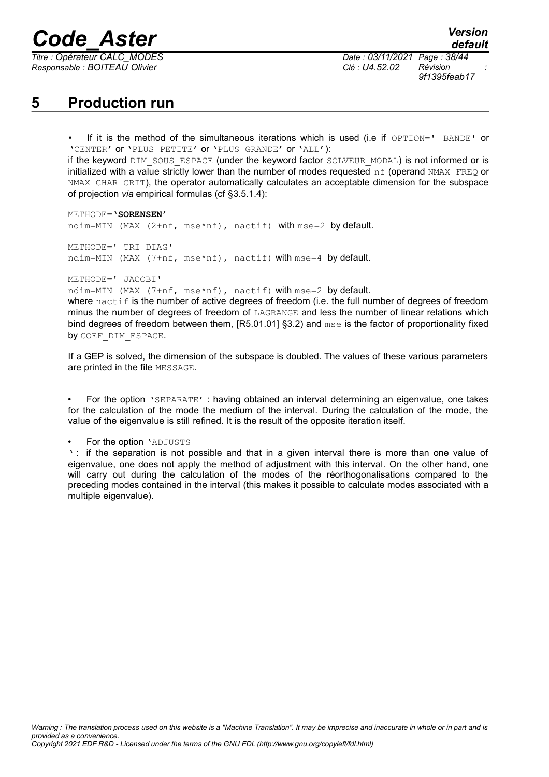*Responsable : BOITEAU Olivier Clé : U4.52.02 Révision :*

## <span id="page-37-0"></span>**5 Production run**

If it is the method of the simultaneous iterations which is used (i.e if OPTION=' BANDE' or 'CENTER' or 'PLUS\_PETITE' or 'PLUS\_GRANDE' or 'ALL'): if the keyword DIM\_SOUS\_ESPACE (under the keyword factor SOLVEUR\_MODAL) is not informed or is initialized with a value strictly lower than the number of modes requested  $\eta$  f (operand NMAX\_FREQ or NMAX CHAR CRIT), the operator automatically calculates an acceptable dimension for the subspace of projection *via* empirical formulas (cf [§3.5.1.4\)](#page-19-0):

METHODE=**'SORENSEN'** ndim=MIN (MAX (2+nf, mse\*nf), nactif) with mse=2 by default.

METHODE=' TRI\_DIAG' ndim=MIN (MAX (7+nf, mse\*nf), nactif) with mse=4 by default.

METHODE=' JACOBI'

ndim=MIN (MAX (7+nf, mse\*nf), nactif) with mse=2 by default.

where  $n$ actif is the number of active degrees of freedom (i.e. the full number of degrees of freedom minus the number of degrees of freedom of LAGRANGE and less the number of linear relations which bind degrees of freedom between them, [R5.01.01] §3.2) and mse is the factor of proportionality fixed by COEF DIM ESPACE.

If a GEP is solved, the dimension of the subspace is doubled. The values of these various parameters are printed in the file MESSAGE.

• For the option 'SEPARATE' : having obtained an interval determining an eigenvalue, one takes for the calculation of the mode the medium of the interval. During the calculation of the mode, the value of the eigenvalue is still refined. It is the result of the opposite iteration itself.

For the option 'ADJUSTS

' : if the separation is not possible and that in a given interval there is more than one value of eigenvalue, one does not apply the method of adjustment with this interval. On the other hand, one will carry out during the calculation of the modes of the réorthogonalisations compared to the preceding modes contained in the interval (this makes it possible to calculate modes associated with a multiple eigenvalue).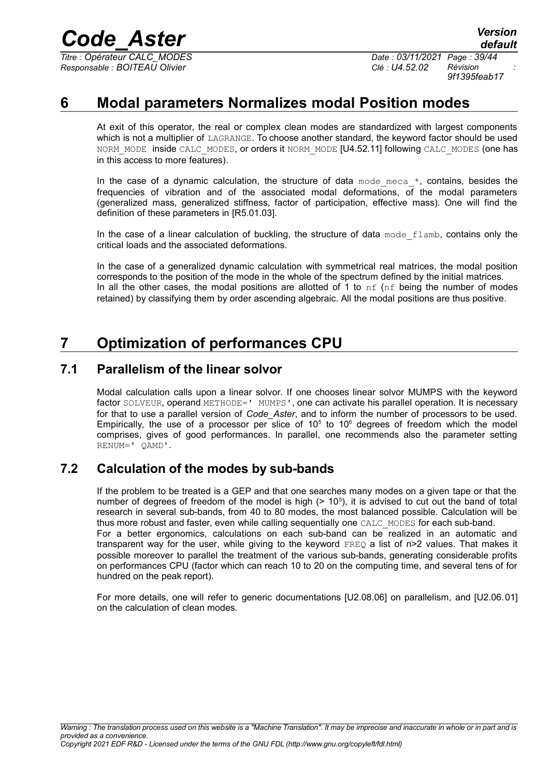*Titre : Opérateur CALC\_MODES Date : 03/11/2021 Page : 39/44 Responsable : BOITEAU Olivier Clé : U4.52.02 Révision :*

*9f1395feab17*

## **6 Modal parameters Normalizes modal Position modes**

<span id="page-38-3"></span>At exit of this operator, the real or complex clean modes are standardized with largest components which is not a multiplier of LAGRANGE. To choose another standard, the keyword factor should be used NORM\_MODE inside CALC\_MODES, or orders it NORM\_MODE [U4.52.11] following CALC\_MODES (one has in this access to more features).

In the case of a dynamic calculation, the structure of data mode meca  $*$ , contains, besides the frequencies of vibration and of the associated modal deformations, of the modal parameters (generalized mass, generalized stiffness, factor of participation, effective mass). One will find the definition of these parameters in [R5.01.03].

In the case of a linear calculation of buckling, the structure of data mode flamb, contains only the critical loads and the associated deformations.

In the case of a generalized dynamic calculation with symmetrical real matrices, the modal position corresponds to the position of the mode in the whole of the spectrum defined by the initial matrices. In all the other cases, the modal positions are allotted of 1 to  $nf$  ( $nf$  being the number of modes retained) by classifying them by order ascending algebraic. All the modal positions are thus positive.

## <span id="page-38-2"></span>**7 Optimization of performances CPU**

### **7.1 Parallelism of the linear solvor**

<span id="page-38-1"></span>Modal calculation calls upon a linear solvor. If one chooses linear solvor MUMPS with the keyword factor SOLVEUR, operand METHODE=' MUMPS', one can activate his parallel operation. It is necessary for that to use a parallel version of *Code\_Aster*, and to inform the number of processors to be used. Empirically, the use of a processor per slice of  $10<sup>5</sup>$  to  $10<sup>6</sup>$  degrees of freedom which the model comprises, gives of good performances. In parallel, one recommends also the parameter setting RENUM=' QAMD'.

## **7.2 Calculation of the modes by sub-bands**

<span id="page-38-0"></span>If the problem to be treated is a GEP and that one searches many modes on a given tape or that the number of degrees of freedom of the model is high  $(> 10<sup>5</sup>)$ , it is advised to cut out the band of total research in several sub-bands, from 40 to 80 modes, the most balanced possible. Calculation will be thus more robust and faster, even while calling sequentially one CALC\_MODES for each sub-band. For a better ergonomics, calculations on each sub-band can be realized in an automatic and transparent way for the user, while giving to the keyword  $FRED$  a list of  $n>2$  values. That makes it possible moreover to parallel the treatment of the various sub-bands, generating considerable profits on performances CPU (factor which can reach 10 to 20 on the computing time, and several tens of for hundred on the peak report).

For more details, one will refer to generic documentations [U2.08.06] on parallelism, and [U2.06.01] on the calculation of clean modes.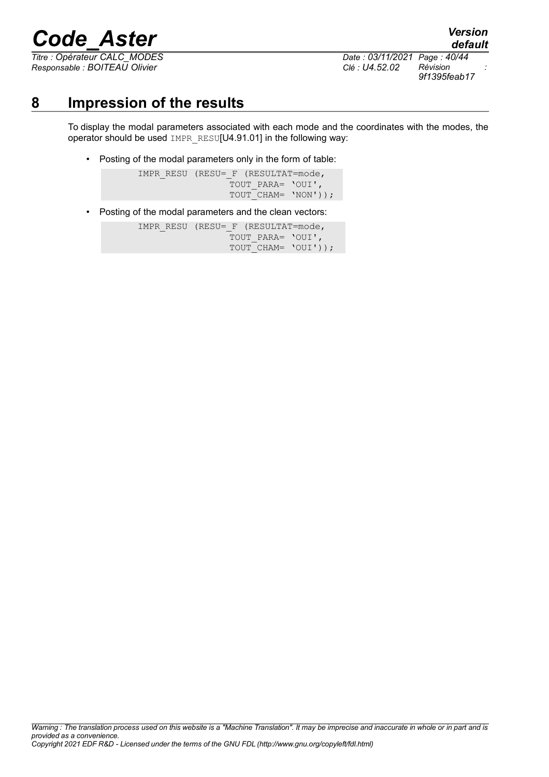*Titre : Opérateur CALC\_MODES Date : 03/11/2021 Page : 40/44 Responsable : BOITEAU Olivier Clé : U4.52.02 Révision :*

*9f1395feab17*

*default*

## **8 Impression of the results**

<span id="page-39-0"></span>To display the modal parameters associated with each mode and the coordinates with the modes, the operator should be used IMPR\_RESU[U4.91.01] in the following way:

• Posting of the modal parameters only in the form of table:

IMPR\_RESU (RESU= F (RESULTAT=mode, TOUT PARA= 'OUI', TOUT CHAM= 'NON'));

• Posting of the modal parameters and the clean vectors:

IMPR\_RESU (RESU= F (RESULTAT=mode, TOUT PARA= 'OUI', TOUT CHAM= 'OUI'));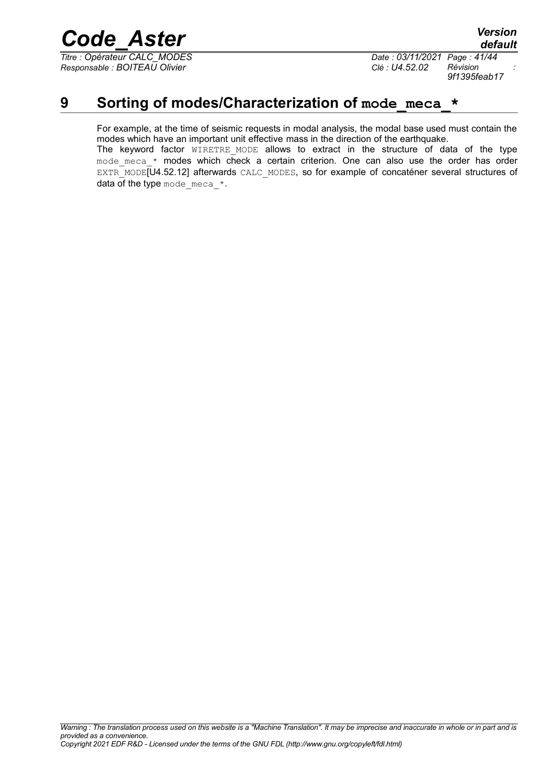*Titre : Opérateur CALC\_MODES Date : 03/11/2021 Page : 41/44 Responsable : BOITEAU Olivier Clé : U4.52.02 Révision :*

*9f1395feab17*

## **9** Sorting of modes/Characterization of mode meca  $*$

<span id="page-40-0"></span>For example, at the time of seismic requests in modal analysis, the modal base used must contain the modes which have an important unit effective mass in the direction of the earthquake. The keyword factor WIRETRE MODE allows to extract in the structure of data of the type mode meca  $*$  modes which check a certain criterion. One can also use the order has order EXTR\_MODE<sub>[U4.52.12]</sub> afterwards CALC\_MODES, so for example of concaténer several structures of data of the type mode meca  $*$ .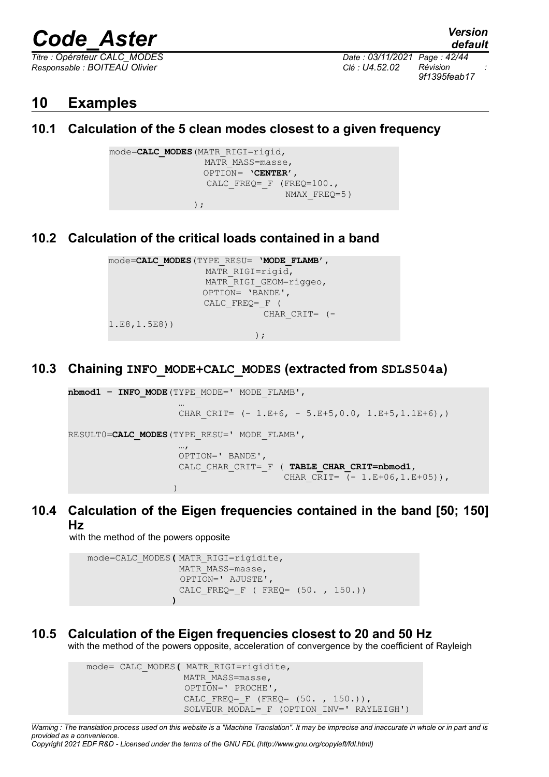*Responsable : BOITEAU Olivier Clé : U4.52.02 Révision :*

*Titre : Opérateur CALC\_MODES Date : 03/11/2021 Page : 42/44 9f1395feab17*

*default*

## <span id="page-41-5"></span>**10 Examples**

## <span id="page-41-4"></span>**10.1 Calculation of the 5 clean modes closest to a given frequency**

```
mode=CALC_MODES(MATR_RIGI=rigid,
                  MATR MASS=masse,
                   OPTION= 'CENTER',
                  CALC FREQ= F (FREQ=100.,
                                 NMAX_FREQ=5)
                 );
```
## <span id="page-41-3"></span>**10.2 Calculation of the critical loads contained in a band**

```
mode=CALC_MODES(TYPE_RESU= 'MODE_FLAMB',
                  MATR_RIGI=rigid,
                  MATR RIGI GEOM=riggeo,
                  OPTION= 'BANDE',
                   CALC_FREQ=_F (
                             CHAR CRIT= (-1.E8,1.5E8))
                           );
```
## **10.3 Chaining INFO\_MODE+CALC\_MODES (extracted from SDLS504a)**

```
nbmod1 = INFO_MODE(TYPE_MODE=' MODE_FLAMB',
 …
                    CHAR CRIT= (- 1.E+6, - 5.E+5,0.0, 1.E+5,1.IE+6),)RESULT0=CALC_MODES(TYPE_RESU=' MODE_FLAMB',
 …,
                     OPTION=' BANDE',
                    CALC_CHAR_CRIT=_F ( TABLE_CHAR_CRIT=nbmod1,
                                       CHAR CRIT= (- 1.E+06, 1.E+05)),
) and the state of the state \mathcal{L}(\mathcal{L})
```
**10.4 Calculation of the Eigen frequencies contained in the band [50; 150] Hz**

<span id="page-41-1"></span>with the method of the powers opposite

```
mode=CALC_MODES( MATR_RIGI=rigidite,
                 MATR MASS=masse,
                  OPTION=' AJUSTE',
                 CALC FREQ= F ( FREQ= (50. , 150.))
                 )
```
## **10.5 Calculation of the Eigen frequencies closest to 20 and 50 Hz**

<span id="page-41-0"></span>with the method of the powers opposite, acceleration of convergence by the coefficient of Rayleigh

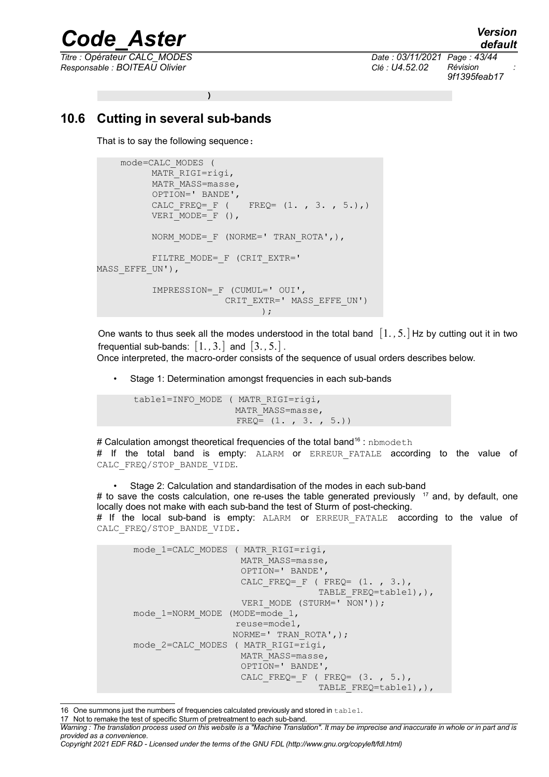*Responsable : BOITEAU Olivier Clé : U4.52.02 Révision :*

*default Titre : Opérateur CALC\_MODES Date : 03/11/2021 Page : 43/44 9f1395feab17*

**)**

### **10.6 Cutting in several sub-bands**

<span id="page-42-0"></span>That is to say the following sequence:

```
mode=CALC_MODES (
        MATR_RIGI=rigi,
         MATR MASS=masse,
          OPTION=' BANDE',
         CALC FREQ= F ( FREQ= (1. , 3. , 5.),)VERI MODE= F (),
         NORM MODE= F (NORME=' TRAN ROTA',),
         FILTRE_MODE=_F (CRIT_EXTR='
MASS EFFE UN'),
          IMPRESSION=_F (CUMUL=' OUI',
                       CRIT_EXTR=' MASS EFFE_UN')
                              );
```
One wants to thus seek all the modes understood in the total band [1. *,*5.] Hz by cutting out it in two frequential sub-bands:  $\begin{bmatrix} 1 \\ 3 \end{bmatrix}$  and  $\begin{bmatrix} 3 \\ 3 \\ 5 \end{bmatrix}$ .

Once interpreted, the macro-order consists of the sequence of usual orders describes below.

• Stage 1: Determination amongst frequencies in each sub-bands

```
table1=INFO_MODE ( MATR_RIGI=rigi,
                  MATR MASS=masse,
                  FREQ = (1, 3, 3, 5.))
```
# Calculation amongst theoretical frequencies of the total band<sup>[16](#page-42-1)</sup>: nbmodeth # If the total band is empty: ALARM or ERREUR FATALE according to the value of CALC\_FREQ/STOP\_BANDE\_VIDE.

• Stage 2: Calculation and standardisation of the modes in each sub-band # to save the costs calculation, one re-uses the table generated previously  $17$  and, by default, one locally does not make with each sub-band the test of Sturm of post-checking. # If the local sub-band is empty: ALARM or ERREUR FATALE according to the value of CALC\_FREQ/STOP\_BANDE\_VIDE.

```
mode 1=CALC MODES ( MATR RIGI=rigi,
                     MATR MASS=masse,
                      OPTION=' BANDE',
                     CALC FREQ= F ( FREQ= (1. , 3.),
                                   TABLE FREQ=table1), ),
                     VERI MODE (STURM=' \overline{N}ON'));
mode 1=NORM MODE (MODE=mode 1,
                    reuse=mode1,
                    NORME=' TRAN_ROTA',);
mode 2=CALC MODES ( MATR RIGI=rigi,
                     MATR MASS=masse,
                      OPTION=' BANDE',
                     CALC FREQ= F ( FREQ= (3. , 5.),
                                    TABLE FREQ=table1), ),
```
<span id="page-42-1"></span><sup>16</sup> One summons just the numbers of frequencies calculated previously and stored in table1.

<span id="page-42-2"></span><sup>17</sup> Not to remake the test of specific Sturm of pretreatment to each sub-band.

*Warning : The translation process used on this website is a "Machine Translation". It may be imprecise and inaccurate in whole or in part and is provided as a convenience.*

*Copyright 2021 EDF R&D - Licensed under the terms of the GNU FDL (http://www.gnu.org/copyleft/fdl.html)*